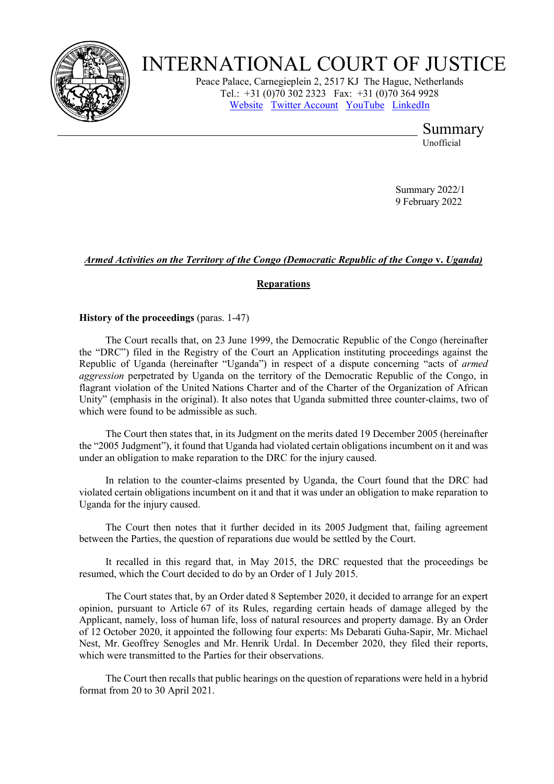

# INTERNATIONAL COURT OF JUSTICE

Peace Palace, Carnegieplein 2, 2517 KJ The Hague, Netherlands Tel.: +31 (0)70 302 2323 Fax: +31 (0)70 364 9928 [Website](http://www.icj-cij.org/) [Twitter Account](https://twitter.com/cij_icj) [YouTube](https://www.youtube.com/channel/UC28oiS6IwkVvWL7kLH1-QPg) [LinkedIn](https://www.linkedin.com/company/international-court-of-justice)

Summary

Unofficial

Summary 2022/1 9 February 2022

# *Armed Activities on the Territory of the Congo (Democratic Republic of the Congo* **v.** *Uganda)*

# **Reparations**

**History of the proceedings** (paras. 1-47)

The Court recalls that, on 23 June 1999, the Democratic Republic of the Congo (hereinafter the "DRC") filed in the Registry of the Court an Application instituting proceedings against the Republic of Uganda (hereinafter "Uganda") in respect of a dispute concerning "acts of *armed aggression* perpetrated by Uganda on the territory of the Democratic Republic of the Congo, in flagrant violation of the United Nations Charter and of the Charter of the Organization of African Unity" (emphasis in the original). It also notes that Uganda submitted three counter-claims, two of which were found to be admissible as such.

The Court then states that, in its Judgment on the merits dated 19 December 2005 (hereinafter the "2005 Judgment"), it found that Uganda had violated certain obligations incumbent on it and was under an obligation to make reparation to the DRC for the injury caused.

In relation to the counter-claims presented by Uganda, the Court found that the DRC had violated certain obligations incumbent on it and that it was under an obligation to make reparation to Uganda for the injury caused.

The Court then notes that it further decided in its 2005 Judgment that, failing agreement between the Parties, the question of reparations due would be settled by the Court.

It recalled in this regard that, in May 2015, the DRC requested that the proceedings be resumed, which the Court decided to do by an Order of 1 July 2015.

The Court states that, by an Order dated 8 September 2020, it decided to arrange for an expert opinion, pursuant to Article 67 of its Rules, regarding certain heads of damage alleged by the Applicant, namely, loss of human life, loss of natural resources and property damage. By an Order of 12 October 2020, it appointed the following four experts: Ms Debarati Guha-Sapir, Mr. Michael Nest, Mr. Geoffrey Senogles and Mr. Henrik Urdal. In December 2020, they filed their reports, which were transmitted to the Parties for their observations.

The Court then recalls that public hearings on the question of reparations were held in a hybrid format from 20 to 30 April 2021.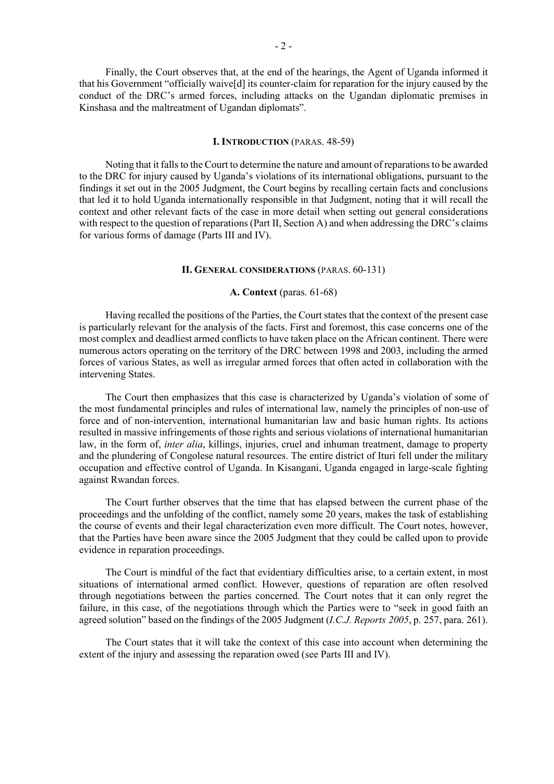Finally, the Court observes that, at the end of the hearings, the Agent of Uganda informed it that his Government "officially waive[d] its counter-claim for reparation for the injury caused by the conduct of the DRC's armed forces, including attacks on the Ugandan diplomatic premises in Kinshasa and the maltreatment of Ugandan diplomats".

# **I. INTRODUCTION** (PARAS. 48-59)

Noting that it falls to the Court to determine the nature and amount of reparations to be awarded to the DRC for injury caused by Uganda's violations of its international obligations, pursuant to the findings it set out in the 2005 Judgment, the Court begins by recalling certain facts and conclusions that led it to hold Uganda internationally responsible in that Judgment, noting that it will recall the context and other relevant facts of the case in more detail when setting out general considerations with respect to the question of reparations (Part II, Section A) and when addressing the DRC's claims for various forms of damage (Parts III and IV).

# **II. GENERAL CONSIDERATIONS** (PARAS. 60-131)

# **A. Context** (paras. 61-68)

Having recalled the positions of the Parties, the Court states that the context of the present case is particularly relevant for the analysis of the facts. First and foremost, this case concerns one of the most complex and deadliest armed conflicts to have taken place on the African continent. There were numerous actors operating on the territory of the DRC between 1998 and 2003, including the armed forces of various States, as well as irregular armed forces that often acted in collaboration with the intervening States.

The Court then emphasizes that this case is characterized by Uganda's violation of some of the most fundamental principles and rules of international law, namely the principles of non-use of force and of non-intervention, international humanitarian law and basic human rights. Its actions resulted in massive infringements of those rights and serious violations of international humanitarian law, in the form of, *inter alia*, killings, injuries, cruel and inhuman treatment, damage to property and the plundering of Congolese natural resources. The entire district of Ituri fell under the military occupation and effective control of Uganda. In Kisangani, Uganda engaged in large-scale fighting against Rwandan forces.

The Court further observes that the time that has elapsed between the current phase of the proceedings and the unfolding of the conflict, namely some 20 years, makes the task of establishing the course of events and their legal characterization even more difficult. The Court notes, however, that the Parties have been aware since the 2005 Judgment that they could be called upon to provide evidence in reparation proceedings.

The Court is mindful of the fact that evidentiary difficulties arise, to a certain extent, in most situations of international armed conflict. However, questions of reparation are often resolved through negotiations between the parties concerned. The Court notes that it can only regret the failure, in this case, of the negotiations through which the Parties were to "seek in good faith an agreed solution" based on the findings of the 2005 Judgment (*I.C.J. Reports 2005*, p. 257, para. 261).

The Court states that it will take the context of this case into account when determining the extent of the injury and assessing the reparation owed (see Parts III and IV).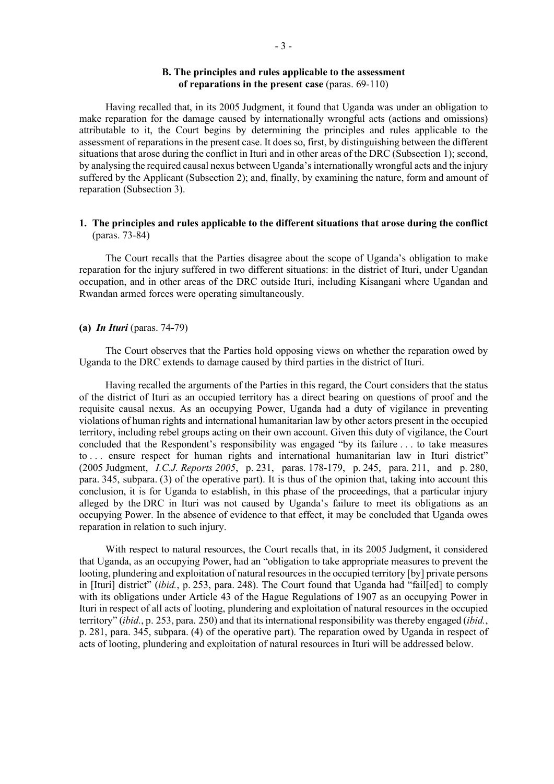# **B. The principles and rules applicable to the assessment of reparations in the present case** (paras. 69-110)

Having recalled that, in its 2005 Judgment, it found that Uganda was under an obligation to make reparation for the damage caused by internationally wrongful acts (actions and omissions) attributable to it, the Court begins by determining the principles and rules applicable to the assessment of reparations in the present case. It does so, first, by distinguishing between the different situations that arose during the conflict in Ituri and in other areas of the DRC (Subsection 1); second, by analysing the required causal nexus between Uganda's internationally wrongful acts and the injury suffered by the Applicant (Subsection 2); and, finally, by examining the nature, form and amount of reparation (Subsection 3).

# **1. The principles and rules applicable to the different situations that arose during the conflict**  (paras. 73-84)

The Court recalls that the Parties disagree about the scope of Uganda's obligation to make reparation for the injury suffered in two different situations: in the district of Ituri, under Ugandan occupation, and in other areas of the DRC outside Ituri, including Kisangani where Ugandan and Rwandan armed forces were operating simultaneously.

### **(a)** *In Ituri* (paras. 74-79)

The Court observes that the Parties hold opposing views on whether the reparation owed by Uganda to the DRC extends to damage caused by third parties in the district of Ituri.

Having recalled the arguments of the Parties in this regard, the Court considers that the status of the district of Ituri as an occupied territory has a direct bearing on questions of proof and the requisite causal nexus. As an occupying Power, Uganda had a duty of vigilance in preventing violations of human rights and international humanitarian law by other actors present in the occupied territory, including rebel groups acting on their own account. Given this duty of vigilance, the Court concluded that the Respondent's responsibility was engaged "by its failure . . . to take measures to . . . ensure respect for human rights and international humanitarian law in Ituri district" (2005 Judgment, *I.C.J. Reports 2005*, p. 231, paras. 178-179, p. 245, para. 211, and p. 280, para. 345, subpara. (3) of the operative part). It is thus of the opinion that, taking into account this conclusion, it is for Uganda to establish, in this phase of the proceedings, that a particular injury alleged by the DRC in Ituri was not caused by Uganda's failure to meet its obligations as an occupying Power. In the absence of evidence to that effect, it may be concluded that Uganda owes reparation in relation to such injury.

With respect to natural resources, the Court recalls that, in its 2005 Judgment, it considered that Uganda, as an occupying Power, had an "obligation to take appropriate measures to prevent the looting, plundering and exploitation of natural resources in the occupied territory [by] private persons in [Ituri] district" (*ibid.*, p. 253, para. 248). The Court found that Uganda had "fail[ed] to comply with its obligations under Article 43 of the Hague Regulations of 1907 as an occupying Power in Ituri in respect of all acts of looting, plundering and exploitation of natural resources in the occupied territory" (*ibid.*, p. 253, para. 250) and that its international responsibility was thereby engaged (*ibid.*, p. 281, para. 345, subpara. (4) of the operative part). The reparation owed by Uganda in respect of acts of looting, plundering and exploitation of natural resources in Ituri will be addressed below.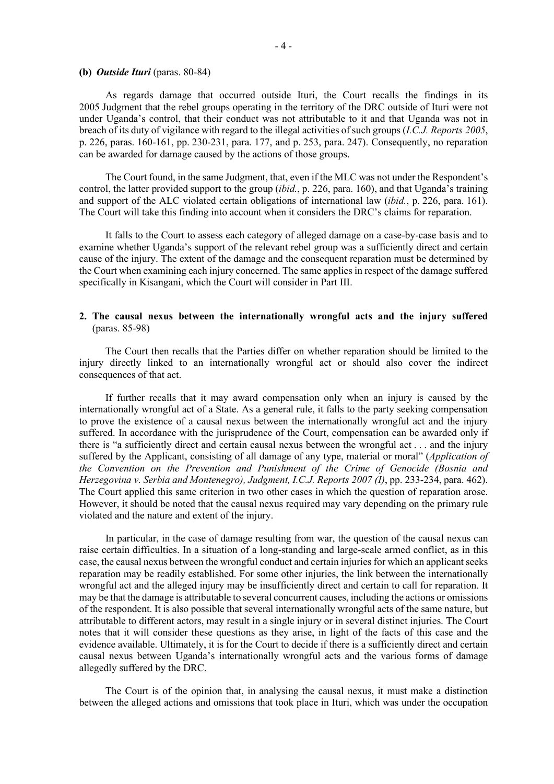### **(b)** *Outside Ituri* (paras. 80-84)

As regards damage that occurred outside Ituri, the Court recalls the findings in its 2005 Judgment that the rebel groups operating in the territory of the DRC outside of Ituri were not under Uganda's control, that their conduct was not attributable to it and that Uganda was not in breach of its duty of vigilance with regard to the illegal activities of such groups (*I.C.J. Reports 2005*, p. 226, paras. 160-161, pp. 230-231, para. 177, and p. 253, para. 247). Consequently, no reparation can be awarded for damage caused by the actions of those groups.

The Court found, in the same Judgment, that, even if the MLC was not under the Respondent's control, the latter provided support to the group (*ibid.*, p. 226, para. 160), and that Uganda's training and support of the ALC violated certain obligations of international law (*ibid.*, p. 226, para. 161). The Court will take this finding into account when it considers the DRC's claims for reparation.

It falls to the Court to assess each category of alleged damage on a case-by-case basis and to examine whether Uganda's support of the relevant rebel group was a sufficiently direct and certain cause of the injury. The extent of the damage and the consequent reparation must be determined by the Court when examining each injury concerned. The same applies in respect of the damage suffered specifically in Kisangani, which the Court will consider in Part III.

# **2. The causal nexus between the internationally wrongful acts and the injury suffered**  (paras. 85-98)

The Court then recalls that the Parties differ on whether reparation should be limited to the injury directly linked to an internationally wrongful act or should also cover the indirect consequences of that act.

If further recalls that it may award compensation only when an injury is caused by the internationally wrongful act of a State. As a general rule, it falls to the party seeking compensation to prove the existence of a causal nexus between the internationally wrongful act and the injury suffered. In accordance with the jurisprudence of the Court, compensation can be awarded only if there is "a sufficiently direct and certain causal nexus between the wrongful act . . . and the injury suffered by the Applicant, consisting of all damage of any type, material or moral" (*Application of the Convention on the Prevention and Punishment of the Crime of Genocide (Bosnia and Herzegovina v. Serbia and Montenegro), Judgment, I.C.J. Reports 2007 (I)*, pp. 233-234, para. 462). The Court applied this same criterion in two other cases in which the question of reparation arose. However, it should be noted that the causal nexus required may vary depending on the primary rule violated and the nature and extent of the injury.

In particular, in the case of damage resulting from war, the question of the causal nexus can raise certain difficulties. In a situation of a long-standing and large-scale armed conflict, as in this case, the causal nexus between the wrongful conduct and certain injuries for which an applicant seeks reparation may be readily established. For some other injuries, the link between the internationally wrongful act and the alleged injury may be insufficiently direct and certain to call for reparation. It may be that the damage is attributable to several concurrent causes, including the actions or omissions of the respondent. It is also possible that several internationally wrongful acts of the same nature, but attributable to different actors, may result in a single injury or in several distinct injuries. The Court notes that it will consider these questions as they arise, in light of the facts of this case and the evidence available. Ultimately, it is for the Court to decide if there is a sufficiently direct and certain causal nexus between Uganda's internationally wrongful acts and the various forms of damage allegedly suffered by the DRC.

The Court is of the opinion that, in analysing the causal nexus, it must make a distinction between the alleged actions and omissions that took place in Ituri, which was under the occupation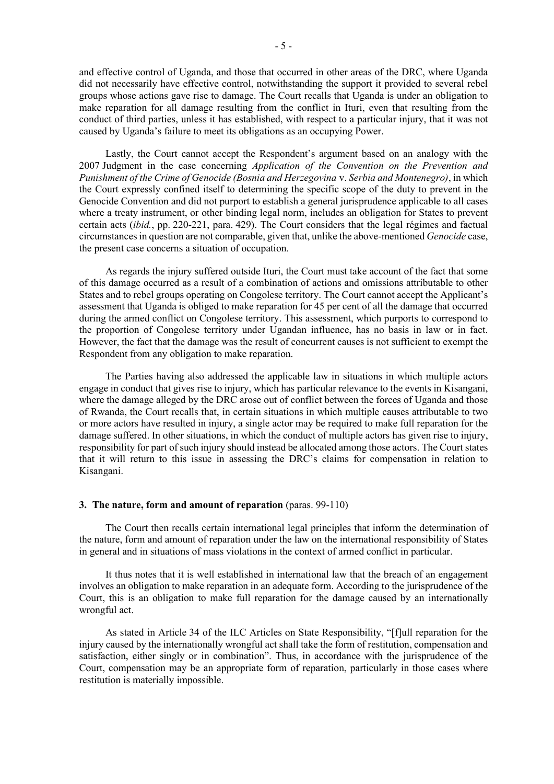- 5 -

and effective control of Uganda, and those that occurred in other areas of the DRC, where Uganda did not necessarily have effective control, notwithstanding the support it provided to several rebel groups whose actions gave rise to damage. The Court recalls that Uganda is under an obligation to make reparation for all damage resulting from the conflict in Ituri, even that resulting from the conduct of third parties, unless it has established, with respect to a particular injury, that it was not caused by Uganda's failure to meet its obligations as an occupying Power.

Lastly, the Court cannot accept the Respondent's argument based on an analogy with the 2007 Judgment in the case concerning *Application of the Convention on the Prevention and Punishment of the Crime of Genocide (Bosnia and Herzegovina* v. *Serbia and Montenegro)*, in which the Court expressly confined itself to determining the specific scope of the duty to prevent in the Genocide Convention and did not purport to establish a general jurisprudence applicable to all cases where a treaty instrument, or other binding legal norm, includes an obligation for States to prevent certain acts (*ibid.*, pp. 220-221, para. 429). The Court considers that the legal régimes and factual circumstances in question are not comparable, given that, unlike the above-mentioned *Genocide* case, the present case concerns a situation of occupation.

As regards the injury suffered outside Ituri, the Court must take account of the fact that some of this damage occurred as a result of a combination of actions and omissions attributable to other States and to rebel groups operating on Congolese territory. The Court cannot accept the Applicant's assessment that Uganda is obliged to make reparation for 45 per cent of all the damage that occurred during the armed conflict on Congolese territory. This assessment, which purports to correspond to the proportion of Congolese territory under Ugandan influence, has no basis in law or in fact. However, the fact that the damage was the result of concurrent causes is not sufficient to exempt the Respondent from any obligation to make reparation.

The Parties having also addressed the applicable law in situations in which multiple actors engage in conduct that gives rise to injury, which has particular relevance to the events in Kisangani, where the damage alleged by the DRC arose out of conflict between the forces of Uganda and those of Rwanda, the Court recalls that, in certain situations in which multiple causes attributable to two or more actors have resulted in injury, a single actor may be required to make full reparation for the damage suffered. In other situations, in which the conduct of multiple actors has given rise to injury, responsibility for part of such injury should instead be allocated among those actors. The Court states that it will return to this issue in assessing the DRC's claims for compensation in relation to Kisangani.

# **3.** The nature, form and amount of reparation (paras. 99-110)

The Court then recalls certain international legal principles that inform the determination of the nature, form and amount of reparation under the law on the international responsibility of States in general and in situations of mass violations in the context of armed conflict in particular.

It thus notes that it is well established in international law that the breach of an engagement involves an obligation to make reparation in an adequate form. According to the jurisprudence of the Court, this is an obligation to make full reparation for the damage caused by an internationally wrongful act.

As stated in Article 34 of the ILC Articles on State Responsibility, "[f]ull reparation for the injury caused by the internationally wrongful act shall take the form of restitution, compensation and satisfaction, either singly or in combination". Thus, in accordance with the jurisprudence of the Court, compensation may be an appropriate form of reparation, particularly in those cases where restitution is materially impossible.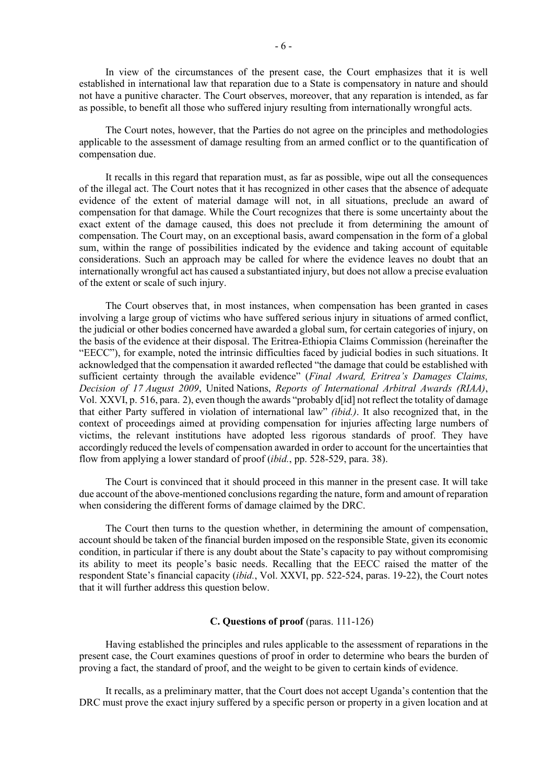In view of the circumstances of the present case, the Court emphasizes that it is well established in international law that reparation due to a State is compensatory in nature and should not have a punitive character. The Court observes, moreover, that any reparation is intended, as far as possible, to benefit all those who suffered injury resulting from internationally wrongful acts.

The Court notes, however, that the Parties do not agree on the principles and methodologies applicable to the assessment of damage resulting from an armed conflict or to the quantification of compensation due.

It recalls in this regard that reparation must, as far as possible, wipe out all the consequences of the illegal act. The Court notes that it has recognized in other cases that the absence of adequate evidence of the extent of material damage will not, in all situations, preclude an award of compensation for that damage. While the Court recognizes that there is some uncertainty about the exact extent of the damage caused, this does not preclude it from determining the amount of compensation. The Court may, on an exceptional basis, award compensation in the form of a global sum, within the range of possibilities indicated by the evidence and taking account of equitable considerations. Such an approach may be called for where the evidence leaves no doubt that an internationally wrongful act has caused a substantiated injury, but does not allow a precise evaluation of the extent or scale of such injury.

The Court observes that, in most instances, when compensation has been granted in cases involving a large group of victims who have suffered serious injury in situations of armed conflict, the judicial or other bodies concerned have awarded a global sum, for certain categories of injury, on the basis of the evidence at their disposal. The Eritrea-Ethiopia Claims Commission (hereinafter the "EECC"), for example, noted the intrinsic difficulties faced by judicial bodies in such situations. It acknowledged that the compensation it awarded reflected "the damage that could be established with sufficient certainty through the available evidence" (*Final Award, Eritrea's Damages Claims, Decision of 17 August 2009*, United Nations, *Reports of International Arbitral Awards (RIAA)*, Vol. XXVI, p. 516, para. 2), even though the awards "probably d[id] not reflect the totality of damage that either Party suffered in violation of international law" *(ibid.)*. It also recognized that, in the context of proceedings aimed at providing compensation for injuries affecting large numbers of victims, the relevant institutions have adopted less rigorous standards of proof. They have accordingly reduced the levels of compensation awarded in order to account for the uncertainties that flow from applying a lower standard of proof (*ibid.*, pp. 528-529, para. 38).

The Court is convinced that it should proceed in this manner in the present case. It will take due account of the above-mentioned conclusions regarding the nature, form and amount of reparation when considering the different forms of damage claimed by the DRC.

The Court then turns to the question whether, in determining the amount of compensation, account should be taken of the financial burden imposed on the responsible State, given its economic condition, in particular if there is any doubt about the State's capacity to pay without compromising its ability to meet its people's basic needs. Recalling that the EECC raised the matter of the respondent State's financial capacity (*ibid.*, Vol. XXVI, pp. 522-524, paras. 19-22), the Court notes that it will further address this question below.

### **C. Questions of proof** (paras. 111-126)

Having established the principles and rules applicable to the assessment of reparations in the present case, the Court examines questions of proof in order to determine who bears the burden of proving a fact, the standard of proof, and the weight to be given to certain kinds of evidence.

It recalls, as a preliminary matter, that the Court does not accept Uganda's contention that the DRC must prove the exact injury suffered by a specific person or property in a given location and at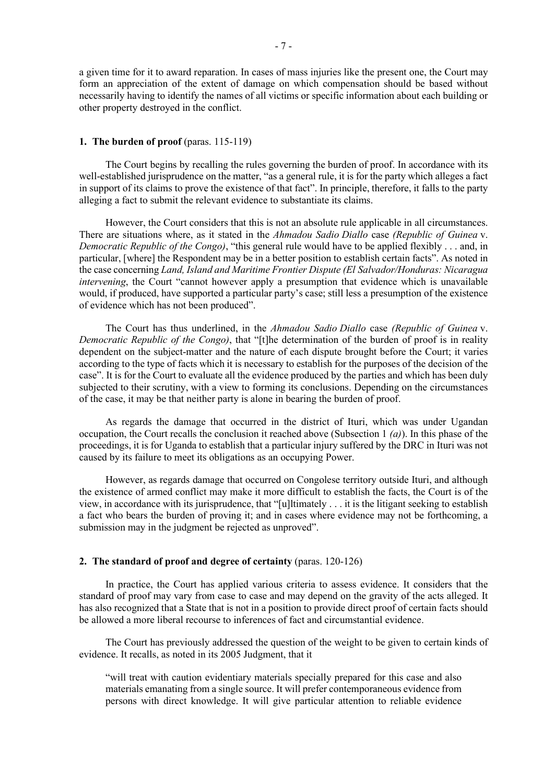a given time for it to award reparation. In cases of mass injuries like the present one, the Court may form an appreciation of the extent of damage on which compensation should be based without necessarily having to identify the names of all victims or specific information about each building or other property destroyed in the conflict.

# **1. The burden of proof** (paras. 115-119)

The Court begins by recalling the rules governing the burden of proof. In accordance with its well-established jurisprudence on the matter, "as a general rule, it is for the party which alleges a fact in support of its claims to prove the existence of that fact". In principle, therefore, it falls to the party alleging a fact to submit the relevant evidence to substantiate its claims.

However, the Court considers that this is not an absolute rule applicable in all circumstances. There are situations where, as it stated in the *Ahmadou Sadio Diallo* case *(Republic of Guinea* v. *Democratic Republic of the Congo)*, "this general rule would have to be applied flexibly . . . and, in particular, [where] the Respondent may be in a better position to establish certain facts". As noted in the case concerning *Land, Island and Maritime Frontier Dispute (El Salvador/Honduras: Nicaragua intervening*, the Court "cannot however apply a presumption that evidence which is unavailable would, if produced, have supported a particular party's case; still less a presumption of the existence of evidence which has not been produced".

The Court has thus underlined, in the *Ahmadou Sadio Diallo* case *(Republic of Guinea* v. *Democratic Republic of the Congo)*, that "[t]he determination of the burden of proof is in reality dependent on the subject-matter and the nature of each dispute brought before the Court; it varies according to the type of facts which it is necessary to establish for the purposes of the decision of the case". It is for the Court to evaluate all the evidence produced by the parties and which has been duly subjected to their scrutiny, with a view to forming its conclusions. Depending on the circumstances of the case, it may be that neither party is alone in bearing the burden of proof.

As regards the damage that occurred in the district of Ituri, which was under Ugandan occupation, the Court recalls the conclusion it reached above (Subsection 1 *(a)*). In this phase of the proceedings, it is for Uganda to establish that a particular injury suffered by the DRC in Ituri was not caused by its failure to meet its obligations as an occupying Power.

However, as regards damage that occurred on Congolese territory outside Ituri, and although the existence of armed conflict may make it more difficult to establish the facts, the Court is of the view, in accordance with its jurisprudence, that "[u]ltimately . . . it is the litigant seeking to establish a fact who bears the burden of proving it; and in cases where evidence may not be forthcoming, a submission may in the judgment be rejected as unproved".

### **2.** The standard of proof and degree of certainty (paras. 120-126)

In practice, the Court has applied various criteria to assess evidence. It considers that the standard of proof may vary from case to case and may depend on the gravity of the acts alleged. It has also recognized that a State that is not in a position to provide direct proof of certain facts should be allowed a more liberal recourse to inferences of fact and circumstantial evidence.

The Court has previously addressed the question of the weight to be given to certain kinds of evidence. It recalls, as noted in its 2005 Judgment, that it

"will treat with caution evidentiary materials specially prepared for this case and also materials emanating from a single source. It will prefer contemporaneous evidence from persons with direct knowledge. It will give particular attention to reliable evidence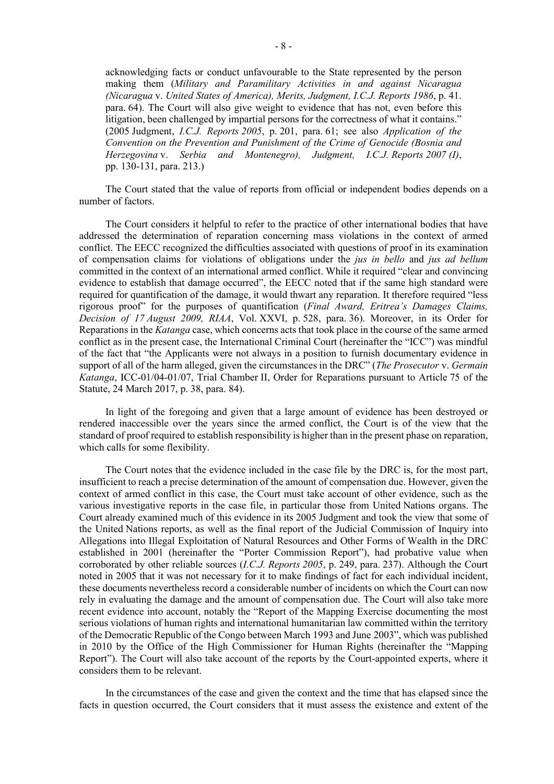acknowledging facts or conduct unfavourable to the State represented by the person making them (*Military and Paramilitary Activities in and against Nicaragua (Nicaragua* v. *United States of America), Merits, Judgment, I.C.J. Reports 1986*, p. 41. para. 64). The Court will also give weight to evidence that has not, even before this litigation, been challenged by impartial persons for the correctness of what it contains." (2005 Judgment, *I.C.J. Reports 2005*, p. 201, para. 61; see also *Application of the Convention on the Prevention and Punishment of the Crime of Genocide (Bosnia and Herzegovina* v. *Serbia and Montenegro), Judgment, I.C.J. Reports 2007 (I)*, pp. 130-131, para. 213.)

The Court stated that the value of reports from official or independent bodies depends on a number of factors.

The Court considers it helpful to refer to the practice of other international bodies that have addressed the determination of reparation concerning mass violations in the context of armed conflict. The EECC recognized the difficulties associated with questions of proof in its examination of compensation claims for violations of obligations under the *jus in bello* and *jus ad bellum* committed in the context of an international armed conflict. While it required "clear and convincing evidence to establish that damage occurred", the EECC noted that if the same high standard were required for quantification of the damage, it would thwart any reparation. It therefore required "less rigorous proof" for the purposes of quantification (*Final Award, Eritrea's Damages Claims, Decision of 17 August 2009, RIAA*, Vol. XXVI, p. 528, para. 36). Moreover, in its Order for Reparations in the *Katanga* case, which concerns acts that took place in the course of the same armed conflict as in the present case, the International Criminal Court (hereinafter the "ICC") was mindful of the fact that "the Applicants were not always in a position to furnish documentary evidence in support of all of the harm alleged, given the circumstances in the DRC" (*The Prosecutor* v. *Germain Katanga*, ICC-01/04-01/07, Trial Chamber II, Order for Reparations pursuant to Article 75 of the Statute, 24 March 2017, p. 38, para. 84).

In light of the foregoing and given that a large amount of evidence has been destroyed or rendered inaccessible over the years since the armed conflict, the Court is of the view that the standard of proof required to establish responsibility is higher than in the present phase on reparation, which calls for some flexibility.

The Court notes that the evidence included in the case file by the DRC is, for the most part, insufficient to reach a precise determination of the amount of compensation due. However, given the context of armed conflict in this case, the Court must take account of other evidence, such as the various investigative reports in the case file, in particular those from United Nations organs. The Court already examined much of this evidence in its 2005 Judgment and took the view that some of the United Nations reports, as well as the final report of the Judicial Commission of Inquiry into Allegations into Illegal Exploitation of Natural Resources and Other Forms of Wealth in the DRC established in 2001 (hereinafter the "Porter Commission Report"), had probative value when corroborated by other reliable sources (*I.C.J. Reports 2005*, p. 249, para. 237). Although the Court noted in 2005 that it was not necessary for it to make findings of fact for each individual incident, these documents nevertheless record a considerable number of incidents on which the Court can now rely in evaluating the damage and the amount of compensation due. The Court will also take more recent evidence into account, notably the "Report of the Mapping Exercise documenting the most serious violations of human rights and international humanitarian law committed within the territory of the Democratic Republic of the Congo between March 1993 and June 2003", which was published in 2010 by the Office of the High Commissioner for Human Rights (hereinafter the "Mapping Report"). The Court will also take account of the reports by the Court-appointed experts, where it considers them to be relevant.

In the circumstances of the case and given the context and the time that has elapsed since the facts in question occurred, the Court considers that it must assess the existence and extent of the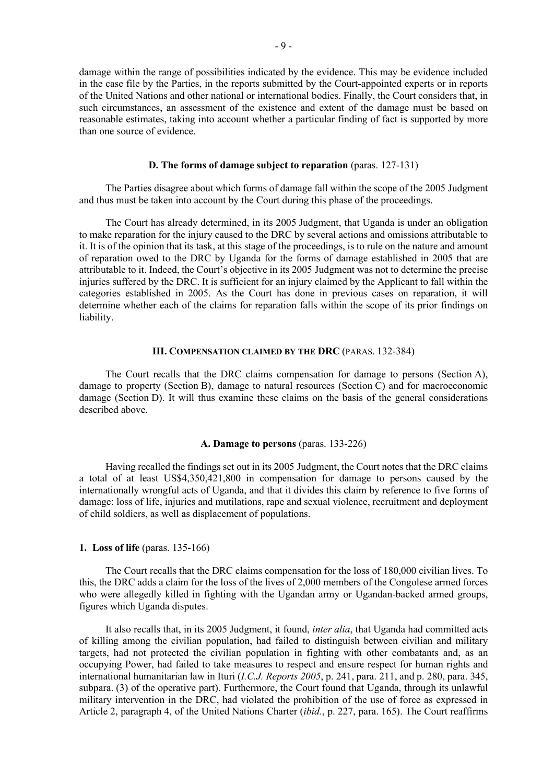damage within the range of possibilities indicated by the evidence. This may be evidence included in the case file by the Parties, in the reports submitted by the Court-appointed experts or in reports of the United Nations and other national or international bodies. Finally, the Court considers that, in such circumstances, an assessment of the existence and extent of the damage must be based on reasonable estimates, taking into account whether a particular finding of fact is supported by more than one source of evidence.

### **D. The forms of damage subject to reparation** (paras. 127-131)

The Parties disagree about which forms of damage fall within the scope of the 2005 Judgment and thus must be taken into account by the Court during this phase of the proceedings.

The Court has already determined, in its 2005 Judgment, that Uganda is under an obligation to make reparation for the injury caused to the DRC by several actions and omissions attributable to it. It is of the opinion that its task, at this stage of the proceedings, is to rule on the nature and amount of reparation owed to the DRC by Uganda for the forms of damage established in 2005 that are attributable to it. Indeed, the Court's objective in its 2005 Judgment was not to determine the precise injuries suffered by the DRC. It is sufficient for an injury claimed by the Applicant to fall within the categories established in 2005. As the Court has done in previous cases on reparation, it will determine whether each of the claims for reparation falls within the scope of its prior findings on liability.

# **III. COMPENSATION CLAIMED BY THE DRC** (PARAS. 132-384)

The Court recalls that the DRC claims compensation for damage to persons (Section A), damage to property (Section B), damage to natural resources (Section C) and for macroeconomic damage (Section D). It will thus examine these claims on the basis of the general considerations described above.

### **A. Damage to persons** (paras. 133-226)

Having recalled the findings set out in its 2005 Judgment, the Court notes that the DRC claims a total of at least US\$4,350,421,800 in compensation for damage to persons caused by the internationally wrongful acts of Uganda, and that it divides this claim by reference to five forms of damage: loss of life, injuries and mutilations, rape and sexual violence, recruitment and deployment of child soldiers, as well as displacement of populations.

### **1. Loss of life** (paras. 135-166)

The Court recalls that the DRC claims compensation for the loss of 180,000 civilian lives. To this, the DRC adds a claim for the loss of the lives of 2,000 members of the Congolese armed forces who were allegedly killed in fighting with the Ugandan army or Ugandan-backed armed groups, figures which Uganda disputes.

It also recalls that, in its 2005 Judgment, it found, *inter alia*, that Uganda had committed acts of killing among the civilian population, had failed to distinguish between civilian and military targets, had not protected the civilian population in fighting with other combatants and, as an occupying Power, had failed to take measures to respect and ensure respect for human rights and international humanitarian law in Ituri (*I.C.J. Reports 2005*, p. 241, para. 211, and p. 280, para. 345, subpara. (3) of the operative part). Furthermore, the Court found that Uganda, through its unlawful military intervention in the DRC, had violated the prohibition of the use of force as expressed in Article 2, paragraph 4, of the United Nations Charter (*ibid.*, p. 227, para. 165). The Court reaffirms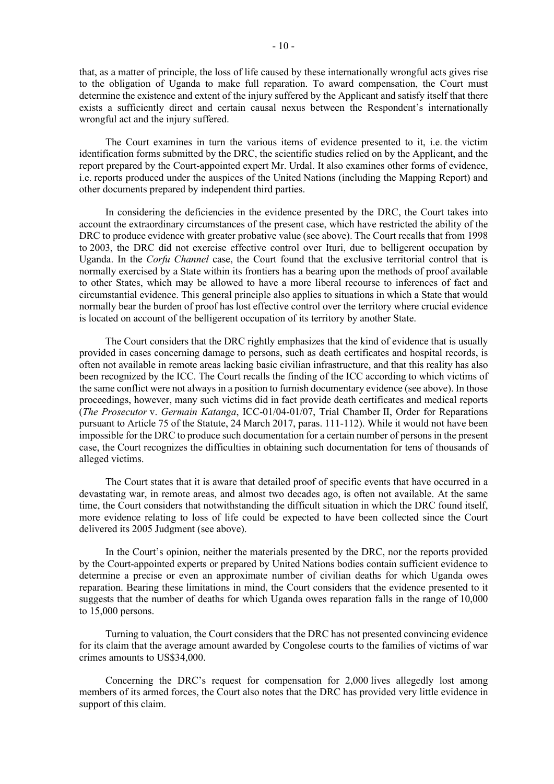that, as a matter of principle, the loss of life caused by these internationally wrongful acts gives rise to the obligation of Uganda to make full reparation. To award compensation, the Court must determine the existence and extent of the injury suffered by the Applicant and satisfy itself that there exists a sufficiently direct and certain causal nexus between the Respondent's internationally wrongful act and the injury suffered.

The Court examines in turn the various items of evidence presented to it, i.e. the victim identification forms submitted by the DRC, the scientific studies relied on by the Applicant, and the report prepared by the Court-appointed expert Mr. Urdal. It also examines other forms of evidence, i.e. reports produced under the auspices of the United Nations (including the Mapping Report) and other documents prepared by independent third parties.

In considering the deficiencies in the evidence presented by the DRC, the Court takes into account the extraordinary circumstances of the present case, which have restricted the ability of the DRC to produce evidence with greater probative value (see above). The Court recalls that from 1998 to 2003, the DRC did not exercise effective control over Ituri, due to belligerent occupation by Uganda. In the *Corfu Channel* case, the Court found that the exclusive territorial control that is normally exercised by a State within its frontiers has a bearing upon the methods of proof available to other States, which may be allowed to have a more liberal recourse to inferences of fact and circumstantial evidence. This general principle also applies to situations in which a State that would normally bear the burden of proof has lost effective control over the territory where crucial evidence is located on account of the belligerent occupation of its territory by another State.

The Court considers that the DRC rightly emphasizes that the kind of evidence that is usually provided in cases concerning damage to persons, such as death certificates and hospital records, is often not available in remote areas lacking basic civilian infrastructure, and that this reality has also been recognized by the ICC. The Court recalls the finding of the ICC according to which victims of the same conflict were not always in a position to furnish documentary evidence (see above). In those proceedings, however, many such victims did in fact provide death certificates and medical reports (*The Prosecutor* v. *Germain Katanga*, ICC-01/04-01/07, Trial Chamber II, Order for Reparations pursuant to Article 75 of the Statute, 24 March 2017, paras. 111-112). While it would not have been impossible for the DRC to produce such documentation for a certain number of persons in the present case, the Court recognizes the difficulties in obtaining such documentation for tens of thousands of alleged victims.

The Court states that it is aware that detailed proof of specific events that have occurred in a devastating war, in remote areas, and almost two decades ago, is often not available. At the same time, the Court considers that notwithstanding the difficult situation in which the DRC found itself, more evidence relating to loss of life could be expected to have been collected since the Court delivered its 2005 Judgment (see above).

In the Court's opinion, neither the materials presented by the DRC, nor the reports provided by the Court-appointed experts or prepared by United Nations bodies contain sufficient evidence to determine a precise or even an approximate number of civilian deaths for which Uganda owes reparation. Bearing these limitations in mind, the Court considers that the evidence presented to it suggests that the number of deaths for which Uganda owes reparation falls in the range of 10,000 to 15,000 persons.

Turning to valuation, the Court considers that the DRC has not presented convincing evidence for its claim that the average amount awarded by Congolese courts to the families of victims of war crimes amounts to US\$34,000.

Concerning the DRC's request for compensation for 2,000 lives allegedly lost among members of its armed forces, the Court also notes that the DRC has provided very little evidence in support of this claim.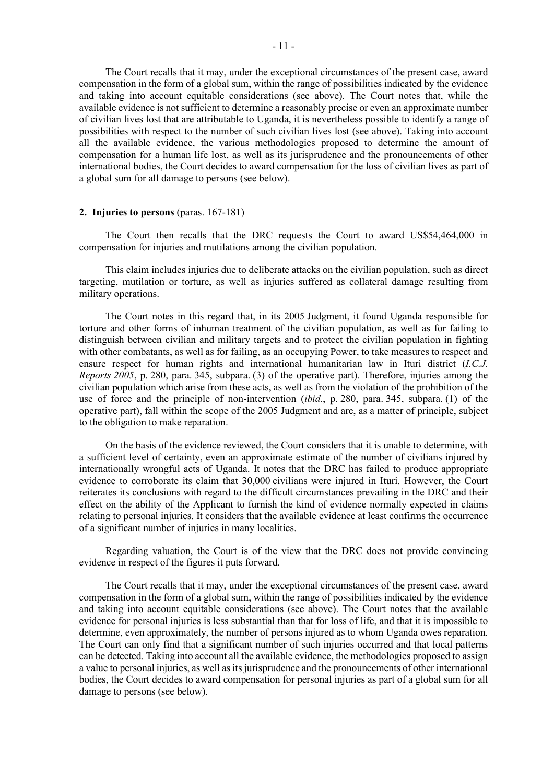The Court recalls that it may, under the exceptional circumstances of the present case, award compensation in the form of a global sum, within the range of possibilities indicated by the evidence and taking into account equitable considerations (see above). The Court notes that, while the available evidence is not sufficient to determine a reasonably precise or even an approximate number of civilian lives lost that are attributable to Uganda, it is nevertheless possible to identify a range of possibilities with respect to the number of such civilian lives lost (see above). Taking into account all the available evidence, the various methodologies proposed to determine the amount of compensation for a human life lost, as well as its jurisprudence and the pronouncements of other international bodies, the Court decides to award compensation for the loss of civilian lives as part of a global sum for all damage to persons (see below).

# **2. Injuries to persons** (paras. 167-181)

The Court then recalls that the DRC requests the Court to award US\$54,464,000 in compensation for injuries and mutilations among the civilian population.

This claim includes injuries due to deliberate attacks on the civilian population, such as direct targeting, mutilation or torture, as well as injuries suffered as collateral damage resulting from military operations.

The Court notes in this regard that, in its 2005 Judgment, it found Uganda responsible for torture and other forms of inhuman treatment of the civilian population, as well as for failing to distinguish between civilian and military targets and to protect the civilian population in fighting with other combatants, as well as for failing, as an occupying Power, to take measures to respect and ensure respect for human rights and international humanitarian law in Ituri district (*I.C.J. Reports 2005*, p. 280, para. 345, subpara. (3) of the operative part). Therefore, injuries among the civilian population which arise from these acts, as well as from the violation of the prohibition of the use of force and the principle of non-intervention (*ibid.*, p. 280, para. 345, subpara. (1) of the operative part), fall within the scope of the 2005 Judgment and are, as a matter of principle, subject to the obligation to make reparation.

On the basis of the evidence reviewed, the Court considers that it is unable to determine, with a sufficient level of certainty, even an approximate estimate of the number of civilians injured by internationally wrongful acts of Uganda. It notes that the DRC has failed to produce appropriate evidence to corroborate its claim that 30,000 civilians were injured in Ituri. However, the Court reiterates its conclusions with regard to the difficult circumstances prevailing in the DRC and their effect on the ability of the Applicant to furnish the kind of evidence normally expected in claims relating to personal injuries. It considers that the available evidence at least confirms the occurrence of a significant number of injuries in many localities.

Regarding valuation, the Court is of the view that the DRC does not provide convincing evidence in respect of the figures it puts forward.

The Court recalls that it may, under the exceptional circumstances of the present case, award compensation in the form of a global sum, within the range of possibilities indicated by the evidence and taking into account equitable considerations (see above). The Court notes that the available evidence for personal injuries is less substantial than that for loss of life, and that it is impossible to determine, even approximately, the number of persons injured as to whom Uganda owes reparation. The Court can only find that a significant number of such injuries occurred and that local patterns can be detected. Taking into account all the available evidence, the methodologies proposed to assign a value to personal injuries, as well as its jurisprudence and the pronouncements of other international bodies, the Court decides to award compensation for personal injuries as part of a global sum for all damage to persons (see below).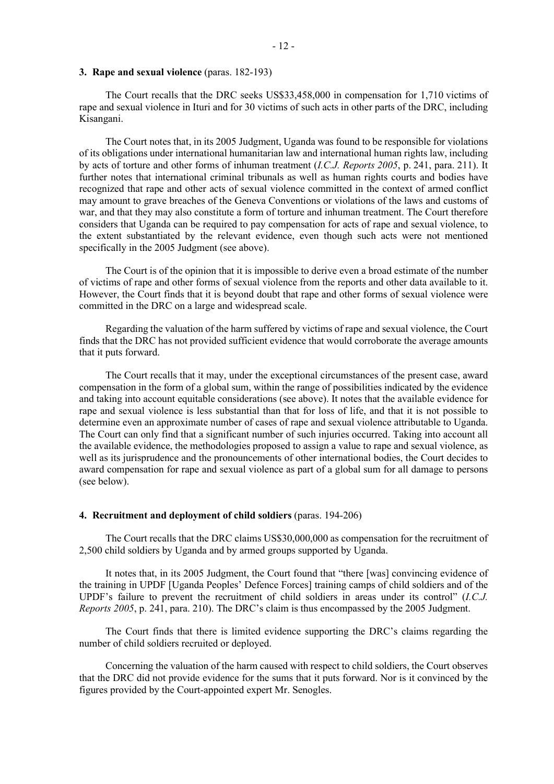### **3. Rape and sexual violence** (paras. 182-193)

The Court recalls that the DRC seeks US\$33,458,000 in compensation for 1,710 victims of rape and sexual violence in Ituri and for 30 victims of such acts in other parts of the DRC, including Kisangani.

The Court notes that, in its 2005 Judgment, Uganda was found to be responsible for violations of its obligations under international humanitarian law and international human rights law, including by acts of torture and other forms of inhuman treatment (*I.C.J. Reports 2005*, p. 241, para. 211). It further notes that international criminal tribunals as well as human rights courts and bodies have recognized that rape and other acts of sexual violence committed in the context of armed conflict may amount to grave breaches of the Geneva Conventions or violations of the laws and customs of war, and that they may also constitute a form of torture and inhuman treatment. The Court therefore considers that Uganda can be required to pay compensation for acts of rape and sexual violence, to the extent substantiated by the relevant evidence, even though such acts were not mentioned specifically in the 2005 Judgment (see above).

The Court is of the opinion that it is impossible to derive even a broad estimate of the number of victims of rape and other forms of sexual violence from the reports and other data available to it. However, the Court finds that it is beyond doubt that rape and other forms of sexual violence were committed in the DRC on a large and widespread scale.

Regarding the valuation of the harm suffered by victims of rape and sexual violence, the Court finds that the DRC has not provided sufficient evidence that would corroborate the average amounts that it puts forward.

The Court recalls that it may, under the exceptional circumstances of the present case, award compensation in the form of a global sum, within the range of possibilities indicated by the evidence and taking into account equitable considerations (see above). It notes that the available evidence for rape and sexual violence is less substantial than that for loss of life, and that it is not possible to determine even an approximate number of cases of rape and sexual violence attributable to Uganda. The Court can only find that a significant number of such injuries occurred. Taking into account all the available evidence, the methodologies proposed to assign a value to rape and sexual violence, as well as its jurisprudence and the pronouncements of other international bodies, the Court decides to award compensation for rape and sexual violence as part of a global sum for all damage to persons (see below).

### **4. Recruitment and deployment of child soldiers** (paras. 194-206)

The Court recalls that the DRC claims US\$30,000,000 as compensation for the recruitment of 2,500 child soldiers by Uganda and by armed groups supported by Uganda.

It notes that, in its 2005 Judgment, the Court found that "there [was] convincing evidence of the training in UPDF [Uganda Peoples' Defence Forces] training camps of child soldiers and of the UPDF's failure to prevent the recruitment of child soldiers in areas under its control" (*I.C.J. Reports 2005*, p. 241, para. 210). The DRC's claim is thus encompassed by the 2005 Judgment.

The Court finds that there is limited evidence supporting the DRC's claims regarding the number of child soldiers recruited or deployed.

Concerning the valuation of the harm caused with respect to child soldiers, the Court observes that the DRC did not provide evidence for the sums that it puts forward. Nor is it convinced by the figures provided by the Court-appointed expert Mr. Senogles.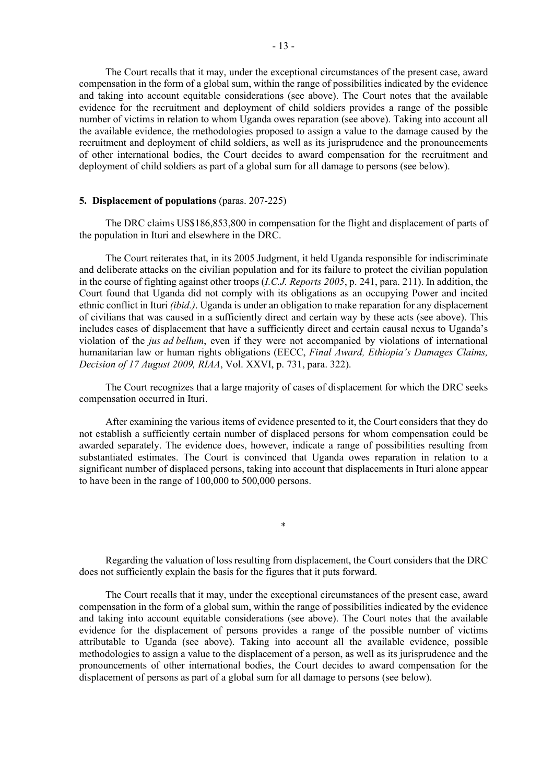The Court recalls that it may, under the exceptional circumstances of the present case, award compensation in the form of a global sum, within the range of possibilities indicated by the evidence and taking into account equitable considerations (see above). The Court notes that the available evidence for the recruitment and deployment of child soldiers provides a range of the possible number of victims in relation to whom Uganda owes reparation (see above). Taking into account all the available evidence, the methodologies proposed to assign a value to the damage caused by the recruitment and deployment of child soldiers, as well as its jurisprudence and the pronouncements of other international bodies, the Court decides to award compensation for the recruitment and deployment of child soldiers as part of a global sum for all damage to persons (see below).

### **5. Displacement of populations** (paras. 207-225)

The DRC claims US\$186,853,800 in compensation for the flight and displacement of parts of the population in Ituri and elsewhere in the DRC.

The Court reiterates that, in its 2005 Judgment, it held Uganda responsible for indiscriminate and deliberate attacks on the civilian population and for its failure to protect the civilian population in the course of fighting against other troops (*I.C.J. Reports 2005*, p. 241, para. 211). In addition, the Court found that Uganda did not comply with its obligations as an occupying Power and incited ethnic conflict in Ituri *(ibid.)*. Uganda is under an obligation to make reparation for any displacement of civilians that was caused in a sufficiently direct and certain way by these acts (see above). This includes cases of displacement that have a sufficiently direct and certain causal nexus to Uganda's violation of the *jus ad bellum*, even if they were not accompanied by violations of international humanitarian law or human rights obligations (EECC, *Final Award, Ethiopia's Damages Claims, Decision of 17 August 2009, RIAA*, Vol. XXVI, p. 731, para. 322).

The Court recognizes that a large majority of cases of displacement for which the DRC seeks compensation occurred in Ituri.

After examining the various items of evidence presented to it, the Court considers that they do not establish a sufficiently certain number of displaced persons for whom compensation could be awarded separately. The evidence does, however, indicate a range of possibilities resulting from substantiated estimates. The Court is convinced that Uganda owes reparation in relation to a significant number of displaced persons, taking into account that displacements in Ituri alone appear to have been in the range of 100,000 to 500,000 persons.

Regarding the valuation of loss resulting from displacement, the Court considers that the DRC does not sufficiently explain the basis for the figures that it puts forward.

\*

The Court recalls that it may, under the exceptional circumstances of the present case, award compensation in the form of a global sum, within the range of possibilities indicated by the evidence and taking into account equitable considerations (see above). The Court notes that the available evidence for the displacement of persons provides a range of the possible number of victims attributable to Uganda (see above). Taking into account all the available evidence, possible methodologies to assign a value to the displacement of a person, as well as its jurisprudence and the pronouncements of other international bodies, the Court decides to award compensation for the displacement of persons as part of a global sum for all damage to persons (see below).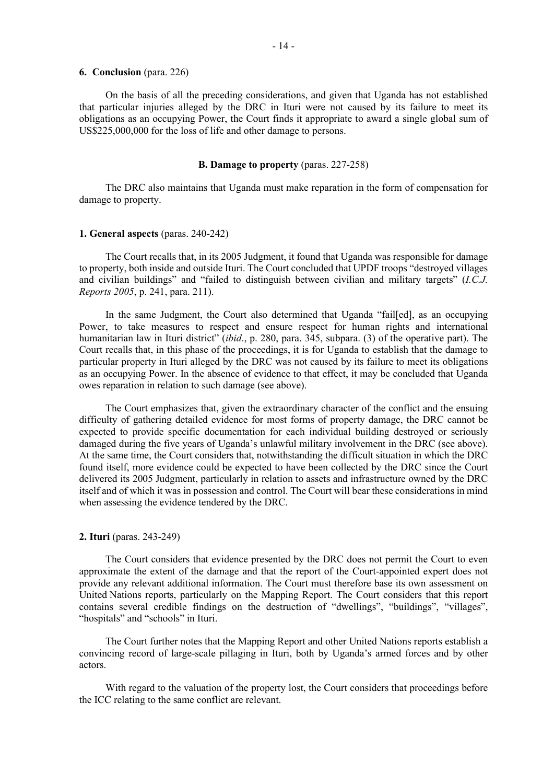### **6. Conclusion** (para. 226)

On the basis of all the preceding considerations, and given that Uganda has not established that particular injuries alleged by the DRC in Ituri were not caused by its failure to meet its obligations as an occupying Power, the Court finds it appropriate to award a single global sum of US\$225,000,000 for the loss of life and other damage to persons.

### **B. Damage to property** (paras. 227-258)

The DRC also maintains that Uganda must make reparation in the form of compensation for damage to property.

### **1. General aspects** (paras. 240-242)

The Court recalls that, in its 2005 Judgment, it found that Uganda was responsible for damage to property, both inside and outside Ituri. The Court concluded that UPDF troops "destroyed villages and civilian buildings" and "failed to distinguish between civilian and military targets" (*I.C.J. Reports 2005*, p. 241, para. 211).

In the same Judgment, the Court also determined that Uganda "fail[ed], as an occupying Power, to take measures to respect and ensure respect for human rights and international humanitarian law in Ituri district" (*ibid*., p. 280, para. 345, subpara. (3) of the operative part). The Court recalls that, in this phase of the proceedings, it is for Uganda to establish that the damage to particular property in Ituri alleged by the DRC was not caused by its failure to meet its obligations as an occupying Power. In the absence of evidence to that effect, it may be concluded that Uganda owes reparation in relation to such damage (see above).

The Court emphasizes that, given the extraordinary character of the conflict and the ensuing difficulty of gathering detailed evidence for most forms of property damage, the DRC cannot be expected to provide specific documentation for each individual building destroyed or seriously damaged during the five years of Uganda's unlawful military involvement in the DRC (see above). At the same time, the Court considers that, notwithstanding the difficult situation in which the DRC found itself, more evidence could be expected to have been collected by the DRC since the Court delivered its 2005 Judgment, particularly in relation to assets and infrastructure owned by the DRC itself and of which it was in possession and control. The Court will bear these considerations in mind when assessing the evidence tendered by the DRC.

# **2. Ituri** (paras. 243-249)

The Court considers that evidence presented by the DRC does not permit the Court to even approximate the extent of the damage and that the report of the Court-appointed expert does not provide any relevant additional information. The Court must therefore base its own assessment on United Nations reports, particularly on the Mapping Report. The Court considers that this report contains several credible findings on the destruction of "dwellings", "buildings", "villages", "hospitals" and "schools" in Ituri.

The Court further notes that the Mapping Report and other United Nations reports establish a convincing record of large-scale pillaging in Ituri, both by Uganda's armed forces and by other actors.

With regard to the valuation of the property lost, the Court considers that proceedings before the ICC relating to the same conflict are relevant.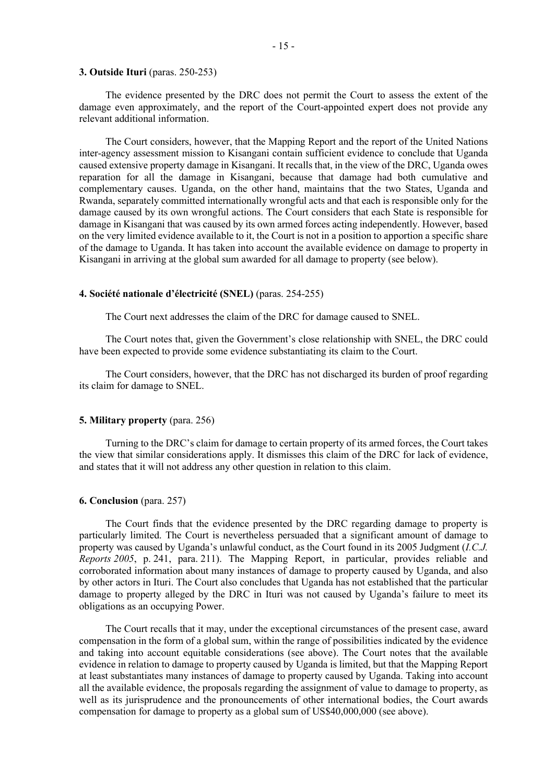### **3. Outside Ituri** (paras. 250-253)

The evidence presented by the DRC does not permit the Court to assess the extent of the damage even approximately, and the report of the Court-appointed expert does not provide any relevant additional information.

The Court considers, however, that the Mapping Report and the report of the United Nations inter-agency assessment mission to Kisangani contain sufficient evidence to conclude that Uganda caused extensive property damage in Kisangani. It recalls that, in the view of the DRC, Uganda owes reparation for all the damage in Kisangani, because that damage had both cumulative and complementary causes. Uganda, on the other hand, maintains that the two States, Uganda and Rwanda, separately committed internationally wrongful acts and that each is responsible only for the damage caused by its own wrongful actions. The Court considers that each State is responsible for damage in Kisangani that was caused by its own armed forces acting independently. However, based on the very limited evidence available to it, the Court is not in a position to apportion a specific share of the damage to Uganda. It has taken into account the available evidence on damage to property in Kisangani in arriving at the global sum awarded for all damage to property (see below).

# **4. Société nationale d'électricité (SNEL)** (paras. 254-255)

The Court next addresses the claim of the DRC for damage caused to SNEL.

The Court notes that, given the Government's close relationship with SNEL, the DRC could have been expected to provide some evidence substantiating its claim to the Court.

The Court considers, however, that the DRC has not discharged its burden of proof regarding its claim for damage to SNEL.

#### **5. Military property** (para. 256)

Turning to the DRC's claim for damage to certain property of its armed forces, the Court takes the view that similar considerations apply. It dismisses this claim of the DRC for lack of evidence, and states that it will not address any other question in relation to this claim.

### **6. Conclusion** (para. 257)

The Court finds that the evidence presented by the DRC regarding damage to property is particularly limited. The Court is nevertheless persuaded that a significant amount of damage to property was caused by Uganda's unlawful conduct, as the Court found in its 2005 Judgment (*I.C.J. Reports 2005*, p. 241, para. 211). The Mapping Report, in particular, provides reliable and corroborated information about many instances of damage to property caused by Uganda, and also by other actors in Ituri. The Court also concludes that Uganda has not established that the particular damage to property alleged by the DRC in Ituri was not caused by Uganda's failure to meet its obligations as an occupying Power.

The Court recalls that it may, under the exceptional circumstances of the present case, award compensation in the form of a global sum, within the range of possibilities indicated by the evidence and taking into account equitable considerations (see above). The Court notes that the available evidence in relation to damage to property caused by Uganda is limited, but that the Mapping Report at least substantiates many instances of damage to property caused by Uganda. Taking into account all the available evidence, the proposals regarding the assignment of value to damage to property, as well as its jurisprudence and the pronouncements of other international bodies, the Court awards compensation for damage to property as a global sum of US\$40,000,000 (see above).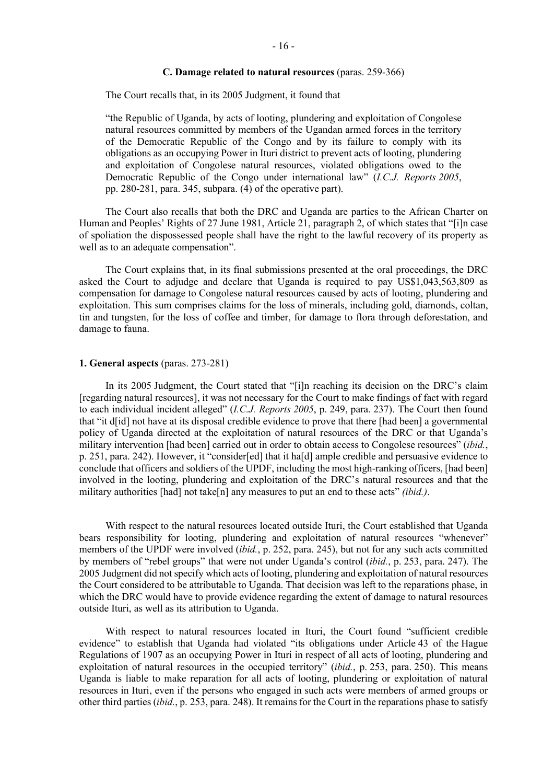# **C. Damage related to natural resources** (paras. 259-366)

The Court recalls that, in its 2005 Judgment, it found that

"the Republic of Uganda, by acts of looting, plundering and exploitation of Congolese natural resources committed by members of the Ugandan armed forces in the territory of the Democratic Republic of the Congo and by its failure to comply with its obligations as an occupying Power in Ituri district to prevent acts of looting, plundering and exploitation of Congolese natural resources, violated obligations owed to the Democratic Republic of the Congo under international law" (*I.C.J. Reports 2005*, pp. 280-281, para. 345, subpara. (4) of the operative part).

The Court also recalls that both the DRC and Uganda are parties to the African Charter on Human and Peoples' Rights of 27 June 1981, Article 21, paragraph 2, of which states that "[i]n case of spoliation the dispossessed people shall have the right to the lawful recovery of its property as well as to an adequate compensation".

The Court explains that, in its final submissions presented at the oral proceedings, the DRC asked the Court to adjudge and declare that Uganda is required to pay US\$1,043,563,809 as compensation for damage to Congolese natural resources caused by acts of looting, plundering and exploitation. This sum comprises claims for the loss of minerals, including gold, diamonds, coltan, tin and tungsten, for the loss of coffee and timber, for damage to flora through deforestation, and damage to fauna.

### **1. General aspects** (paras. 273-281)

In its 2005 Judgment, the Court stated that "[i]n reaching its decision on the DRC's claim [regarding natural resources], it was not necessary for the Court to make findings of fact with regard to each individual incident alleged" (*I.C.J. Reports 2005*, p. 249, para. 237). The Court then found that "it d[id] not have at its disposal credible evidence to prove that there [had been] a governmental policy of Uganda directed at the exploitation of natural resources of the DRC or that Uganda's military intervention [had been] carried out in order to obtain access to Congolese resources" (*ibid.*, p. 251, para. 242). However, it "consider[ed] that it ha[d] ample credible and persuasive evidence to conclude that officers and soldiers of the UPDF, including the most high-ranking officers, [had been] involved in the looting, plundering and exploitation of the DRC's natural resources and that the military authorities [had] not take[n] any measures to put an end to these acts" *(ibid.)*.

With respect to the natural resources located outside Ituri, the Court established that Uganda bears responsibility for looting, plundering and exploitation of natural resources "whenever" members of the UPDF were involved (*ibid.*, p. 252, para. 245), but not for any such acts committed by members of "rebel groups" that were not under Uganda's control (*ibid.*, p. 253, para. 247). The 2005 Judgment did not specify which acts of looting, plundering and exploitation of natural resources the Court considered to be attributable to Uganda. That decision was left to the reparations phase, in which the DRC would have to provide evidence regarding the extent of damage to natural resources outside Ituri, as well as its attribution to Uganda.

With respect to natural resources located in Ituri, the Court found "sufficient credible evidence" to establish that Uganda had violated "its obligations under Article 43 of the Hague Regulations of 1907 as an occupying Power in Ituri in respect of all acts of looting, plundering and exploitation of natural resources in the occupied territory" (*ibid.*, p. 253, para. 250). This means Uganda is liable to make reparation for all acts of looting, plundering or exploitation of natural resources in Ituri, even if the persons who engaged in such acts were members of armed groups or other third parties (*ibid.*, p. 253, para. 248). It remains for the Court in the reparations phase to satisfy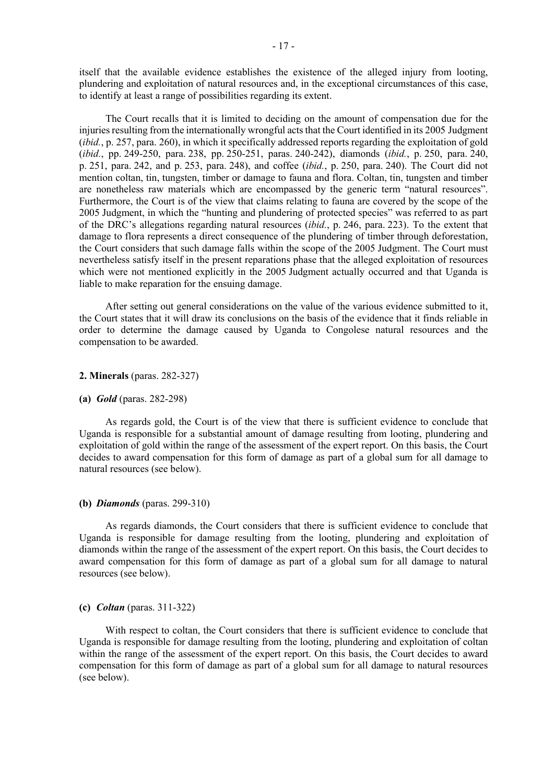itself that the available evidence establishes the existence of the alleged injury from looting, plundering and exploitation of natural resources and, in the exceptional circumstances of this case, to identify at least a range of possibilities regarding its extent.

The Court recalls that it is limited to deciding on the amount of compensation due for the injuries resulting from the internationally wrongful acts that the Court identified in its 2005 Judgment (*ibid.*, p. 257, para. 260), in which it specifically addressed reports regarding the exploitation of gold (*ibid.*, pp. 249-250, para. 238, pp. 250-251, paras. 240-242), diamonds (*ibid.*, p. 250, para. 240, p. 251, para. 242, and p. 253, para. 248), and coffee (*ibid.*, p. 250, para. 240). The Court did not mention coltan, tin, tungsten, timber or damage to fauna and flora. Coltan, tin, tungsten and timber are nonetheless raw materials which are encompassed by the generic term "natural resources". Furthermore, the Court is of the view that claims relating to fauna are covered by the scope of the 2005 Judgment, in which the "hunting and plundering of protected species" was referred to as part of the DRC's allegations regarding natural resources (*ibid.*, p. 246, para. 223). To the extent that damage to flora represents a direct consequence of the plundering of timber through deforestation, the Court considers that such damage falls within the scope of the 2005 Judgment. The Court must nevertheless satisfy itself in the present reparations phase that the alleged exploitation of resources which were not mentioned explicitly in the 2005 Judgment actually occurred and that Uganda is liable to make reparation for the ensuing damage.

After setting out general considerations on the value of the various evidence submitted to it, the Court states that it will draw its conclusions on the basis of the evidence that it finds reliable in order to determine the damage caused by Uganda to Congolese natural resources and the compensation to be awarded.

### **2. Minerals** (paras. 282-327)

### **(a)** *Gold* (paras. 282-298)

As regards gold, the Court is of the view that there is sufficient evidence to conclude that Uganda is responsible for a substantial amount of damage resulting from looting, plundering and exploitation of gold within the range of the assessment of the expert report. On this basis, the Court decides to award compensation for this form of damage as part of a global sum for all damage to natural resources (see below).

# **(b)** *Diamonds* (paras. 299-310)

As regards diamonds, the Court considers that there is sufficient evidence to conclude that Uganda is responsible for damage resulting from the looting, plundering and exploitation of diamonds within the range of the assessment of the expert report. On this basis, the Court decides to award compensation for this form of damage as part of a global sum for all damage to natural resources (see below).

### **(c)** *Coltan* (paras. 311-322)

With respect to coltan, the Court considers that there is sufficient evidence to conclude that Uganda is responsible for damage resulting from the looting, plundering and exploitation of coltan within the range of the assessment of the expert report. On this basis, the Court decides to award compensation for this form of damage as part of a global sum for all damage to natural resources (see below).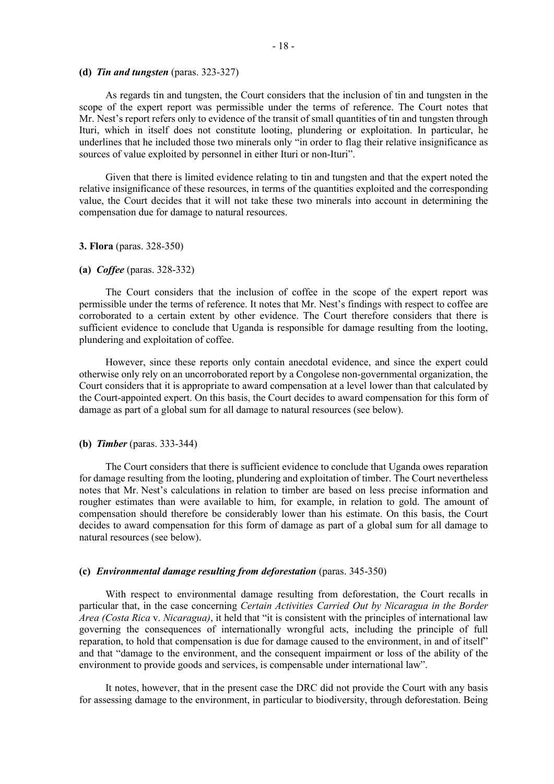### **(d)** *Tin and tungsten* (paras. 323-327)

As regards tin and tungsten, the Court considers that the inclusion of tin and tungsten in the scope of the expert report was permissible under the terms of reference. The Court notes that Mr. Nest's report refers only to evidence of the transit of small quantities of tin and tungsten through Ituri, which in itself does not constitute looting, plundering or exploitation. In particular, he underlines that he included those two minerals only "in order to flag their relative insignificance as sources of value exploited by personnel in either Ituri or non-Ituri".

Given that there is limited evidence relating to tin and tungsten and that the expert noted the relative insignificance of these resources, in terms of the quantities exploited and the corresponding value, the Court decides that it will not take these two minerals into account in determining the compensation due for damage to natural resources.

### **3. Flora** (paras. 328-350)

# **(a)** *Coffee* (paras. 328-332)

The Court considers that the inclusion of coffee in the scope of the expert report was permissible under the terms of reference. It notes that Mr. Nest's findings with respect to coffee are corroborated to a certain extent by other evidence. The Court therefore considers that there is sufficient evidence to conclude that Uganda is responsible for damage resulting from the looting, plundering and exploitation of coffee.

However, since these reports only contain anecdotal evidence, and since the expert could otherwise only rely on an uncorroborated report by a Congolese non-governmental organization, the Court considers that it is appropriate to award compensation at a level lower than that calculated by the Court-appointed expert. On this basis, the Court decides to award compensation for this form of damage as part of a global sum for all damage to natural resources (see below).

# **(b)** *Timber* (paras. 333-344)

The Court considers that there is sufficient evidence to conclude that Uganda owes reparation for damage resulting from the looting, plundering and exploitation of timber. The Court nevertheless notes that Mr. Nest's calculations in relation to timber are based on less precise information and rougher estimates than were available to him, for example, in relation to gold. The amount of compensation should therefore be considerably lower than his estimate. On this basis, the Court decides to award compensation for this form of damage as part of a global sum for all damage to natural resources (see below).

# **(c)** *Environmental damage resulting from deforestation* (paras. 345-350)

With respect to environmental damage resulting from deforestation, the Court recalls in particular that, in the case concerning *Certain Activities Carried Out by Nicaragua in the Border Area (Costa Rica* v. *Nicaragua)*, it held that "it is consistent with the principles of international law governing the consequences of internationally wrongful acts, including the principle of full reparation, to hold that compensation is due for damage caused to the environment, in and of itself" and that "damage to the environment, and the consequent impairment or loss of the ability of the environment to provide goods and services, is compensable under international law".

It notes, however, that in the present case the DRC did not provide the Court with any basis for assessing damage to the environment, in particular to biodiversity, through deforestation. Being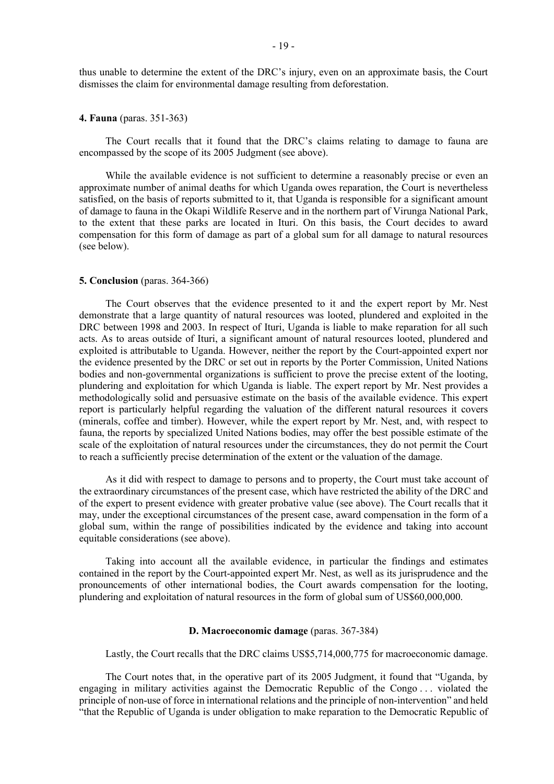thus unable to determine the extent of the DRC's injury, even on an approximate basis, the Court dismisses the claim for environmental damage resulting from deforestation.

# **4. Fauna** (paras. 351-363)

The Court recalls that it found that the DRC's claims relating to damage to fauna are encompassed by the scope of its 2005 Judgment (see above).

While the available evidence is not sufficient to determine a reasonably precise or even an approximate number of animal deaths for which Uganda owes reparation, the Court is nevertheless satisfied, on the basis of reports submitted to it, that Uganda is responsible for a significant amount of damage to fauna in the Okapi Wildlife Reserve and in the northern part of Virunga National Park, to the extent that these parks are located in Ituri. On this basis, the Court decides to award compensation for this form of damage as part of a global sum for all damage to natural resources (see below).

### **5. Conclusion** (paras. 364-366)

The Court observes that the evidence presented to it and the expert report by Mr. Nest demonstrate that a large quantity of natural resources was looted, plundered and exploited in the DRC between 1998 and 2003. In respect of Ituri, Uganda is liable to make reparation for all such acts. As to areas outside of Ituri, a significant amount of natural resources looted, plundered and exploited is attributable to Uganda. However, neither the report by the Court-appointed expert nor the evidence presented by the DRC or set out in reports by the Porter Commission, United Nations bodies and non-governmental organizations is sufficient to prove the precise extent of the looting, plundering and exploitation for which Uganda is liable. The expert report by Mr. Nest provides a methodologically solid and persuasive estimate on the basis of the available evidence. This expert report is particularly helpful regarding the valuation of the different natural resources it covers (minerals, coffee and timber). However, while the expert report by Mr. Nest, and, with respect to fauna, the reports by specialized United Nations bodies, may offer the best possible estimate of the scale of the exploitation of natural resources under the circumstances, they do not permit the Court to reach a sufficiently precise determination of the extent or the valuation of the damage.

As it did with respect to damage to persons and to property, the Court must take account of the extraordinary circumstances of the present case, which have restricted the ability of the DRC and of the expert to present evidence with greater probative value (see above). The Court recalls that it may, under the exceptional circumstances of the present case, award compensation in the form of a global sum, within the range of possibilities indicated by the evidence and taking into account equitable considerations (see above).

Taking into account all the available evidence, in particular the findings and estimates contained in the report by the Court-appointed expert Mr. Nest, as well as its jurisprudence and the pronouncements of other international bodies, the Court awards compensation for the looting, plundering and exploitation of natural resources in the form of global sum of US\$60,000,000.

### **D. Macroeconomic damage** (paras. 367-384)

Lastly, the Court recalls that the DRC claims US\$5,714,000,775 for macroeconomic damage.

The Court notes that, in the operative part of its 2005 Judgment, it found that "Uganda, by engaging in military activities against the Democratic Republic of the Congo . . . violated the principle of non-use of force in international relations and the principle of non-intervention" and held "that the Republic of Uganda is under obligation to make reparation to the Democratic Republic of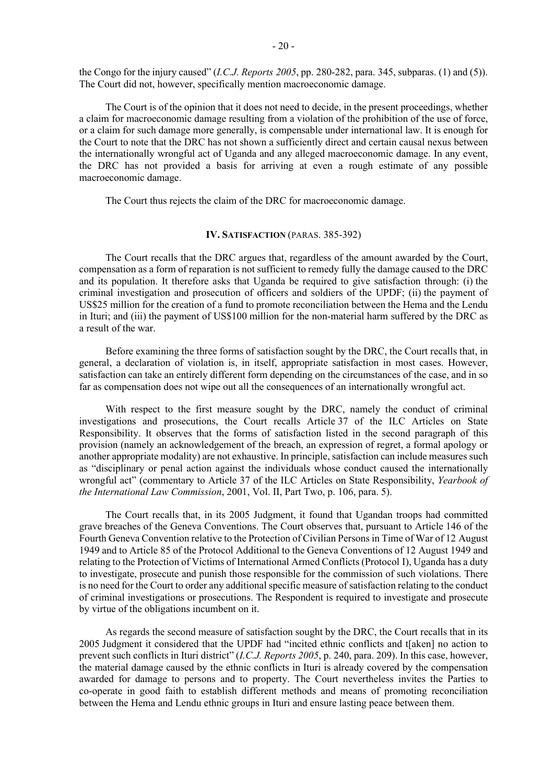the Congo for the injury caused" (*I.C.J. Reports 2005*, pp. 280-282, para. 345, subparas. (1) and (5)). The Court did not, however, specifically mention macroeconomic damage.

The Court is of the opinion that it does not need to decide, in the present proceedings, whether a claim for macroeconomic damage resulting from a violation of the prohibition of the use of force, or a claim for such damage more generally, is compensable under international law. It is enough for the Court to note that the DRC has not shown a sufficiently direct and certain causal nexus between the internationally wrongful act of Uganda and any alleged macroeconomic damage. In any event, the DRC has not provided a basis for arriving at even a rough estimate of any possible macroeconomic damage.

The Court thus rejects the claim of the DRC for macroeconomic damage.

### **IV. SATISFACTION (PARAS. 385-392)**

The Court recalls that the DRC argues that, regardless of the amount awarded by the Court, compensation as a form of reparation is not sufficient to remedy fully the damage caused to the DRC and its population. It therefore asks that Uganda be required to give satisfaction through: (i) the criminal investigation and prosecution of officers and soldiers of the UPDF; (ii) the payment of US\$25 million for the creation of a fund to promote reconciliation between the Hema and the Lendu in Ituri; and (iii) the payment of US\$100 million for the non-material harm suffered by the DRC as a result of the war.

Before examining the three forms of satisfaction sought by the DRC, the Court recalls that, in general, a declaration of violation is, in itself, appropriate satisfaction in most cases. However, satisfaction can take an entirely different form depending on the circumstances of the case, and in so far as compensation does not wipe out all the consequences of an internationally wrongful act.

With respect to the first measure sought by the DRC, namely the conduct of criminal investigations and prosecutions, the Court recalls Article 37 of the ILC Articles on State Responsibility. It observes that the forms of satisfaction listed in the second paragraph of this provision (namely an acknowledgement of the breach, an expression of regret, a formal apology or another appropriate modality) are not exhaustive. In principle, satisfaction can include measures such as "disciplinary or penal action against the individuals whose conduct caused the internationally wrongful act" (commentary to Article 37 of the ILC Articles on State Responsibility, *Yearbook of the International Law Commission*, 2001, Vol. II, Part Two, p. 106, para. 5).

The Court recalls that, in its 2005 Judgment, it found that Ugandan troops had committed grave breaches of the Geneva Conventions. The Court observes that, pursuant to Article 146 of the Fourth Geneva Convention relative to the Protection of Civilian Persons in Time of War of 12 August 1949 and to Article 85 of the Protocol Additional to the Geneva Conventions of 12 August 1949 and relating to the Protection of Victims of International Armed Conflicts (Protocol I), Uganda has a duty to investigate, prosecute and punish those responsible for the commission of such violations. There is no need for the Court to order any additional specific measure of satisfaction relating to the conduct of criminal investigations or prosecutions. The Respondent is required to investigate and prosecute by virtue of the obligations incumbent on it.

As regards the second measure of satisfaction sought by the DRC, the Court recalls that in its 2005 Judgment it considered that the UPDF had "incited ethnic conflicts and t[aken] no action to prevent such conflicts in Ituri district" (*I.C.J. Reports 2005*, p. 240, para. 209). In this case, however, the material damage caused by the ethnic conflicts in Ituri is already covered by the compensation awarded for damage to persons and to property. The Court nevertheless invites the Parties to co-operate in good faith to establish different methods and means of promoting reconciliation between the Hema and Lendu ethnic groups in Ituri and ensure lasting peace between them.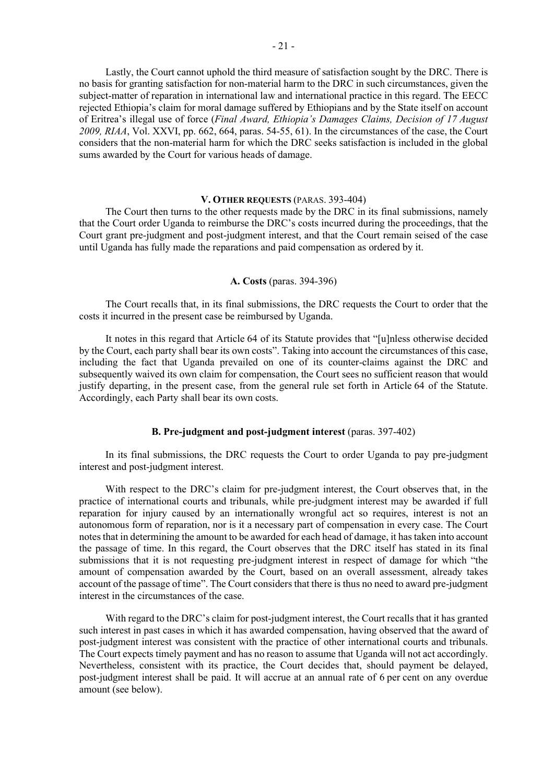Lastly, the Court cannot uphold the third measure of satisfaction sought by the DRC. There is no basis for granting satisfaction for non-material harm to the DRC in such circumstances, given the subject-matter of reparation in international law and international practice in this regard. The EECC rejected Ethiopia's claim for moral damage suffered by Ethiopians and by the State itself on account of Eritrea's illegal use of force (*Final Award, Ethiopia's Damages Claims, Decision of 17 August 2009, RIAA*, Vol. XXVI, pp. 662, 664, paras. 54-55, 61). In the circumstances of the case, the Court considers that the non-material harm for which the DRC seeks satisfaction is included in the global sums awarded by the Court for various heads of damage.

# **V. OTHER REQUESTS** (PARAS. 393-404)

The Court then turns to the other requests made by the DRC in its final submissions, namely that the Court order Uganda to reimburse the DRC's costs incurred during the proceedings, that the Court grant pre-judgment and post-judgment interest, and that the Court remain seised of the case until Uganda has fully made the reparations and paid compensation as ordered by it.

# **A. Costs** (paras. 394-396)

The Court recalls that, in its final submissions, the DRC requests the Court to order that the costs it incurred in the present case be reimbursed by Uganda.

It notes in this regard that Article 64 of its Statute provides that "[u]nless otherwise decided by the Court, each party shall bear its own costs". Taking into account the circumstances of this case, including the fact that Uganda prevailed on one of its counter-claims against the DRC and subsequently waived its own claim for compensation, the Court sees no sufficient reason that would justify departing, in the present case, from the general rule set forth in Article 64 of the Statute. Accordingly, each Party shall bear its own costs.

# **B. Pre-judgment and post-judgment interest** (paras. 397-402)

In its final submissions, the DRC requests the Court to order Uganda to pay pre-judgment interest and post-judgment interest.

With respect to the DRC's claim for pre-judgment interest, the Court observes that, in the practice of international courts and tribunals, while pre-judgment interest may be awarded if full reparation for injury caused by an internationally wrongful act so requires, interest is not an autonomous form of reparation, nor is it a necessary part of compensation in every case. The Court notes that in determining the amount to be awarded for each head of damage, it has taken into account the passage of time. In this regard, the Court observes that the DRC itself has stated in its final submissions that it is not requesting pre-judgment interest in respect of damage for which "the amount of compensation awarded by the Court, based on an overall assessment, already takes account of the passage of time". The Court considers that there is thus no need to award pre-judgment interest in the circumstances of the case.

With regard to the DRC's claim for post-judgment interest, the Court recalls that it has granted such interest in past cases in which it has awarded compensation, having observed that the award of post-judgment interest was consistent with the practice of other international courts and tribunals. The Court expects timely payment and has no reason to assume that Uganda will not act accordingly. Nevertheless, consistent with its practice, the Court decides that, should payment be delayed, post-judgment interest shall be paid. It will accrue at an annual rate of 6 per cent on any overdue amount (see below).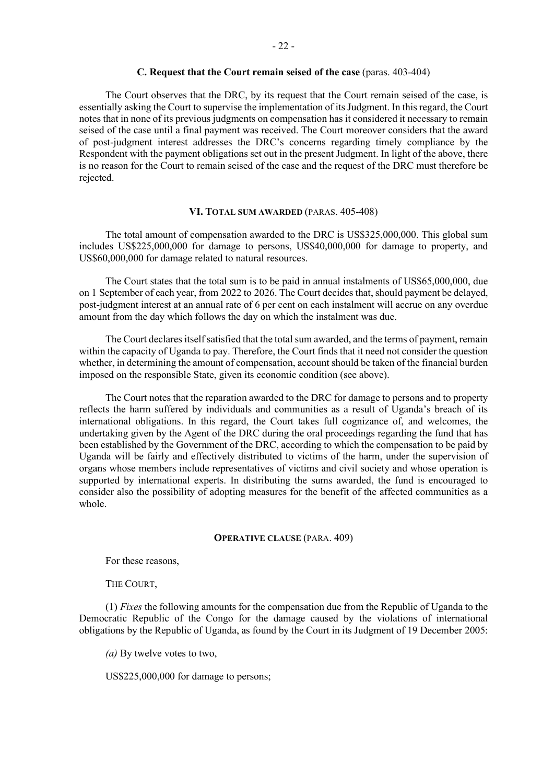# **C. Request that the Court remain seised of the case** (paras. 403-404)

The Court observes that the DRC, by its request that the Court remain seised of the case, is essentially asking the Court to supervise the implementation of its Judgment. In this regard, the Court notes that in none of its previous judgments on compensation has it considered it necessary to remain seised of the case until a final payment was received. The Court moreover considers that the award of post-judgment interest addresses the DRC's concerns regarding timely compliance by the Respondent with the payment obligations set out in the present Judgment. In light of the above, there is no reason for the Court to remain seised of the case and the request of the DRC must therefore be rejected.

### **VI. TOTAL SUM AWARDED** (PARAS. 405-408)

The total amount of compensation awarded to the DRC is US\$325,000,000. This global sum includes US\$225,000,000 for damage to persons, US\$40,000,000 for damage to property, and US\$60,000,000 for damage related to natural resources.

The Court states that the total sum is to be paid in annual instalments of US\$65,000,000, due on 1 September of each year, from 2022 to 2026. The Court decides that, should payment be delayed, post-judgment interest at an annual rate of 6 per cent on each instalment will accrue on any overdue amount from the day which follows the day on which the instalment was due.

The Court declares itself satisfied that the total sum awarded, and the terms of payment, remain within the capacity of Uganda to pay. Therefore, the Court finds that it need not consider the question whether, in determining the amount of compensation, account should be taken of the financial burden imposed on the responsible State, given its economic condition (see above).

The Court notes that the reparation awarded to the DRC for damage to persons and to property reflects the harm suffered by individuals and communities as a result of Uganda's breach of its international obligations. In this regard, the Court takes full cognizance of, and welcomes, the undertaking given by the Agent of the DRC during the oral proceedings regarding the fund that has been established by the Government of the DRC, according to which the compensation to be paid by Uganda will be fairly and effectively distributed to victims of the harm, under the supervision of organs whose members include representatives of victims and civil society and whose operation is supported by international experts. In distributing the sums awarded, the fund is encouraged to consider also the possibility of adopting measures for the benefit of the affected communities as a whole.

### **OPERATIVE CLAUSE** (PARA. 409)

For these reasons,

THE COURT,

(1) *Fixes* the following amounts for the compensation due from the Republic of Uganda to the Democratic Republic of the Congo for the damage caused by the violations of international obligations by the Republic of Uganda, as found by the Court in its Judgment of 19 December 2005:

*(a)* By twelve votes to two,

US\$225,000,000 for damage to persons;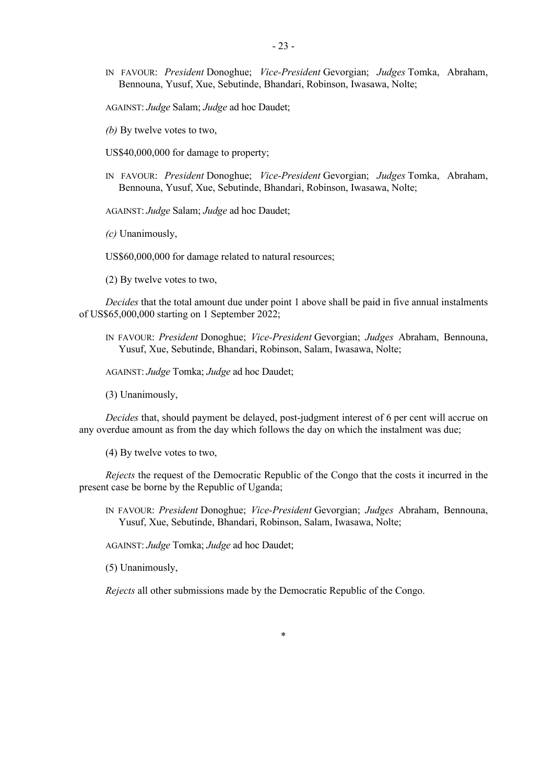IN FAVOUR: *President* Donoghue; *Vice-President* Gevorgian; *Judges* Tomka, Abraham, Bennouna, Yusuf, Xue, Sebutinde, Bhandari, Robinson, Iwasawa, Nolte;

AGAINST: *Judge* Salam; *Judge* ad hoc Daudet;

*(b)* By twelve votes to two,

US\$40,000,000 for damage to property;

IN FAVOUR: *President* Donoghue; *Vice-President* Gevorgian; *Judges* Tomka, Abraham, Bennouna, Yusuf, Xue, Sebutinde, Bhandari, Robinson, Iwasawa, Nolte;

AGAINST: *Judge* Salam; *Judge* ad hoc Daudet;

*(c)* Unanimously,

US\$60,000,000 for damage related to natural resources;

(2) By twelve votes to two,

*Decides* that the total amount due under point 1 above shall be paid in five annual instalments of US\$65,000,000 starting on 1 September 2022;

IN FAVOUR: *President* Donoghue; *Vice-President* Gevorgian; *Judges* Abraham, Bennouna, Yusuf, Xue, Sebutinde, Bhandari, Robinson, Salam, Iwasawa, Nolte;

AGAINST: *Judge* Tomka; *Judge* ad hoc Daudet;

(3) Unanimously,

*Decides* that, should payment be delayed, post-judgment interest of 6 per cent will accrue on any overdue amount as from the day which follows the day on which the instalment was due;

(4) By twelve votes to two,

*Rejects* the request of the Democratic Republic of the Congo that the costs it incurred in the present case be borne by the Republic of Uganda;

IN FAVOUR: *President* Donoghue; *Vice-President* Gevorgian; *Judges* Abraham, Bennouna, Yusuf, Xue, Sebutinde, Bhandari, Robinson, Salam, Iwasawa, Nolte;

AGAINST: *Judge* Tomka; *Judge* ad hoc Daudet;

(5) Unanimously,

*Rejects* all other submissions made by the Democratic Republic of the Congo.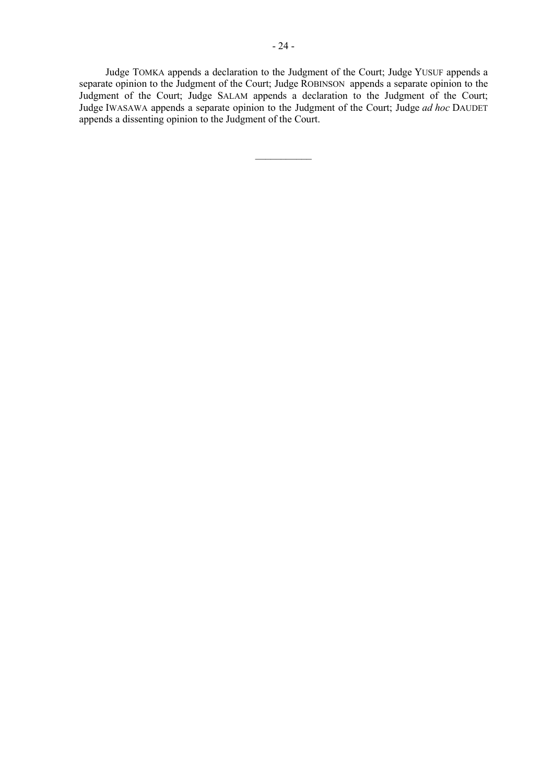Judge TOMKA appends a declaration to the Judgment of the Court; Judge YUSUF appends a separate opinion to the Judgment of the Court; Judge ROBINSON appends a separate opinion to the Judgment of the Court; Judge SALAM appends a declaration to the Judgment of the Court; Judge IWASAWA appends a separate opinion to the Judgment of the Court; Judge *ad hoc* DAUDET appends a dissenting opinion to the Judgment of the Court.

 $\frac{1}{2}$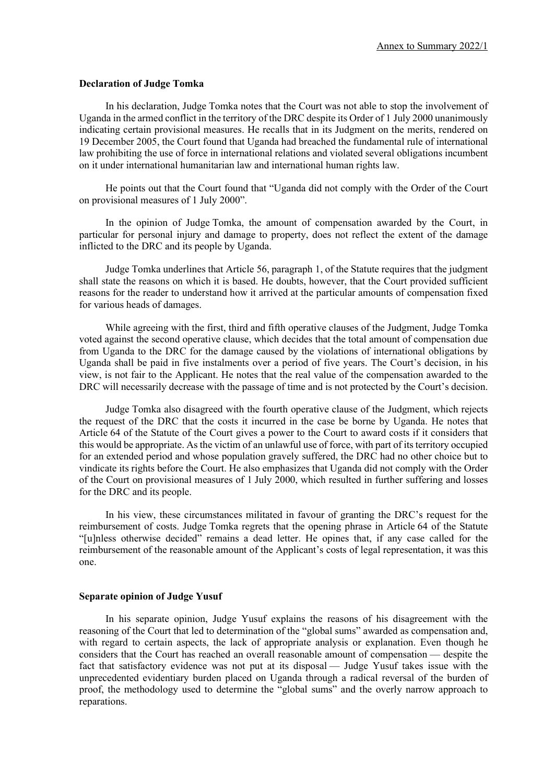### **Declaration of Judge Tomka**

In his declaration, Judge Tomka notes that the Court was not able to stop the involvement of Uganda in the armed conflict in the territory of the DRC despite its Order of 1 July 2000 unanimously indicating certain provisional measures. He recalls that in its Judgment on the merits, rendered on 19 December 2005, the Court found that Uganda had breached the fundamental rule of international law prohibiting the use of force in international relations and violated several obligations incumbent on it under international humanitarian law and international human rights law.

He points out that the Court found that "Uganda did not comply with the Order of the Court on provisional measures of 1 July 2000".

In the opinion of Judge Tomka, the amount of compensation awarded by the Court, in particular for personal injury and damage to property, does not reflect the extent of the damage inflicted to the DRC and its people by Uganda.

Judge Tomka underlines that Article 56, paragraph 1, of the Statute requires that the judgment shall state the reasons on which it is based. He doubts, however, that the Court provided sufficient reasons for the reader to understand how it arrived at the particular amounts of compensation fixed for various heads of damages.

While agreeing with the first, third and fifth operative clauses of the Judgment, Judge Tomka voted against the second operative clause, which decides that the total amount of compensation due from Uganda to the DRC for the damage caused by the violations of international obligations by Uganda shall be paid in five instalments over a period of five years. The Court's decision, in his view, is not fair to the Applicant. He notes that the real value of the compensation awarded to the DRC will necessarily decrease with the passage of time and is not protected by the Court's decision.

Judge Tomka also disagreed with the fourth operative clause of the Judgment, which rejects the request of the DRC that the costs it incurred in the case be borne by Uganda. He notes that Article 64 of the Statute of the Court gives a power to the Court to award costs if it considers that this would be appropriate. As the victim of an unlawful use of force, with part of its territory occupied for an extended period and whose population gravely suffered, the DRC had no other choice but to vindicate its rights before the Court. He also emphasizes that Uganda did not comply with the Order of the Court on provisional measures of 1 July 2000, which resulted in further suffering and losses for the DRC and its people.

In his view, these circumstances militated in favour of granting the DRC's request for the reimbursement of costs. Judge Tomka regrets that the opening phrase in Article 64 of the Statute "[u]nless otherwise decided" remains a dead letter. He opines that, if any case called for the reimbursement of the reasonable amount of the Applicant's costs of legal representation, it was this one.

### **Separate opinion of Judge Yusuf**

In his separate opinion, Judge Yusuf explains the reasons of his disagreement with the reasoning of the Court that led to determination of the "global sums" awarded as compensation and, with regard to certain aspects, the lack of appropriate analysis or explanation. Even though he considers that the Court has reached an overall reasonable amount of compensation — despite the fact that satisfactory evidence was not put at its disposal — Judge Yusuf takes issue with the unprecedented evidentiary burden placed on Uganda through a radical reversal of the burden of proof, the methodology used to determine the "global sums" and the overly narrow approach to reparations.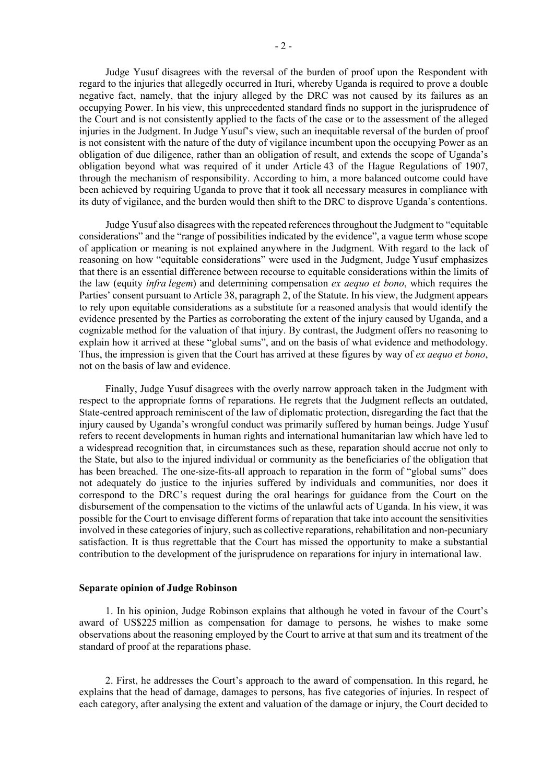Judge Yusuf disagrees with the reversal of the burden of proof upon the Respondent with regard to the injuries that allegedly occurred in Ituri, whereby Uganda is required to prove a double negative fact, namely, that the injury alleged by the DRC was not caused by its failures as an occupying Power. In his view, this unprecedented standard finds no support in the jurisprudence of the Court and is not consistently applied to the facts of the case or to the assessment of the alleged injuries in the Judgment. In Judge Yusuf's view, such an inequitable reversal of the burden of proof is not consistent with the nature of the duty of vigilance incumbent upon the occupying Power as an obligation of due diligence, rather than an obligation of result, and extends the scope of Uganda's obligation beyond what was required of it under Article 43 of the Hague Regulations of 1907, through the mechanism of responsibility. According to him, a more balanced outcome could have been achieved by requiring Uganda to prove that it took all necessary measures in compliance with its duty of vigilance, and the burden would then shift to the DRC to disprove Uganda's contentions.

Judge Yusuf also disagrees with the repeated references throughout the Judgment to "equitable considerations" and the "range of possibilities indicated by the evidence", a vague term whose scope of application or meaning is not explained anywhere in the Judgment. With regard to the lack of reasoning on how "equitable considerations" were used in the Judgment, Judge Yusuf emphasizes that there is an essential difference between recourse to equitable considerations within the limits of the law (equity *infra legem*) and determining compensation *ex aequo et bono*, which requires the Parties' consent pursuant to Article 38, paragraph 2, of the Statute. In his view, the Judgment appears to rely upon equitable considerations as a substitute for a reasoned analysis that would identify the evidence presented by the Parties as corroborating the extent of the injury caused by Uganda, and a cognizable method for the valuation of that injury. By contrast, the Judgment offers no reasoning to explain how it arrived at these "global sums", and on the basis of what evidence and methodology. Thus, the impression is given that the Court has arrived at these figures by way of *ex aequo et bono*, not on the basis of law and evidence.

Finally, Judge Yusuf disagrees with the overly narrow approach taken in the Judgment with respect to the appropriate forms of reparations. He regrets that the Judgment reflects an outdated, State-centred approach reminiscent of the law of diplomatic protection, disregarding the fact that the injury caused by Uganda's wrongful conduct was primarily suffered by human beings. Judge Yusuf refers to recent developments in human rights and international humanitarian law which have led to a widespread recognition that, in circumstances such as these, reparation should accrue not only to the State, but also to the injured individual or community as the beneficiaries of the obligation that has been breached. The one-size-fits-all approach to reparation in the form of "global sums" does not adequately do justice to the injuries suffered by individuals and communities, nor does it correspond to the DRC's request during the oral hearings for guidance from the Court on the disbursement of the compensation to the victims of the unlawful acts of Uganda. In his view, it was possible for the Court to envisage different forms of reparation that take into account the sensitivities involved in these categories of injury, such as collective reparations, rehabilitation and non-pecuniary satisfaction. It is thus regrettable that the Court has missed the opportunity to make a substantial contribution to the development of the jurisprudence on reparations for injury in international law.

### **Separate opinion of Judge Robinson**

1. In his opinion, Judge Robinson explains that although he voted in favour of the Court's award of US\$225 million as compensation for damage to persons, he wishes to make some observations about the reasoning employed by the Court to arrive at that sum and its treatment of the standard of proof at the reparations phase.

2. First, he addresses the Court's approach to the award of compensation. In this regard, he explains that the head of damage, damages to persons, has five categories of injuries. In respect of each category, after analysing the extent and valuation of the damage or injury, the Court decided to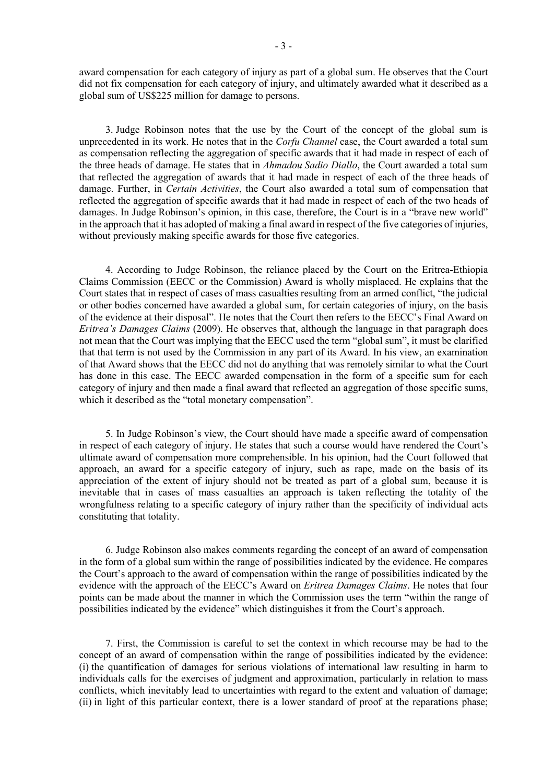award compensation for each category of injury as part of a global sum. He observes that the Court did not fix compensation for each category of injury, and ultimately awarded what it described as a global sum of US\$225 million for damage to persons.

3. Judge Robinson notes that the use by the Court of the concept of the global sum is unprecedented in its work. He notes that in the *Corfu Channel* case, the Court awarded a total sum as compensation reflecting the aggregation of specific awards that it had made in respect of each of the three heads of damage. He states that in *Ahmadou Sadio Diallo*, the Court awarded a total sum that reflected the aggregation of awards that it had made in respect of each of the three heads of damage. Further, in *Certain Activities*, the Court also awarded a total sum of compensation that reflected the aggregation of specific awards that it had made in respect of each of the two heads of damages. In Judge Robinson's opinion, in this case, therefore, the Court is in a "brave new world" in the approach that it has adopted of making a final award in respect of the five categories of injuries, without previously making specific awards for those five categories.

4. According to Judge Robinson, the reliance placed by the Court on the Eritrea-Ethiopia Claims Commission (EECC or the Commission) Award is wholly misplaced. He explains that the Court states that in respect of cases of mass casualties resulting from an armed conflict, "the judicial or other bodies concerned have awarded a global sum, for certain categories of injury, on the basis of the evidence at their disposal". He notes that the Court then refers to the EECC's Final Award on *Eritrea's Damages Claims* (2009). He observes that, although the language in that paragraph does not mean that the Court was implying that the EECC used the term "global sum", it must be clarified that that term is not used by the Commission in any part of its Award. In his view, an examination of that Award shows that the EECC did not do anything that was remotely similar to what the Court has done in this case. The EECC awarded compensation in the form of a specific sum for each category of injury and then made a final award that reflected an aggregation of those specific sums, which it described as the "total monetary compensation".

5. In Judge Robinson's view, the Court should have made a specific award of compensation in respect of each category of injury. He states that such a course would have rendered the Court's ultimate award of compensation more comprehensible. In his opinion, had the Court followed that approach, an award for a specific category of injury, such as rape, made on the basis of its appreciation of the extent of injury should not be treated as part of a global sum, because it is inevitable that in cases of mass casualties an approach is taken reflecting the totality of the wrongfulness relating to a specific category of injury rather than the specificity of individual acts constituting that totality.

6. Judge Robinson also makes comments regarding the concept of an award of compensation in the form of a global sum within the range of possibilities indicated by the evidence. He compares the Court's approach to the award of compensation within the range of possibilities indicated by the evidence with the approach of the EECC's Award on *Eritrea Damages Claims*. He notes that four points can be made about the manner in which the Commission uses the term "within the range of possibilities indicated by the evidence" which distinguishes it from the Court's approach.

7. First, the Commission is careful to set the context in which recourse may be had to the concept of an award of compensation within the range of possibilities indicated by the evidence: (i) the quantification of damages for serious violations of international law resulting in harm to individuals calls for the exercises of judgment and approximation, particularly in relation to mass conflicts, which inevitably lead to uncertainties with regard to the extent and valuation of damage; (ii) in light of this particular context, there is a lower standard of proof at the reparations phase;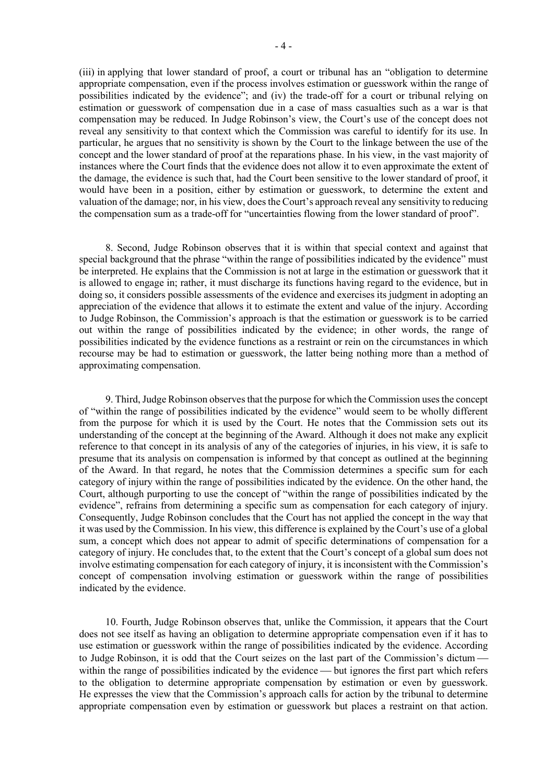(iii) in applying that lower standard of proof, a court or tribunal has an "obligation to determine appropriate compensation, even if the process involves estimation or guesswork within the range of possibilities indicated by the evidence"; and (iv) the trade-off for a court or tribunal relying on estimation or guesswork of compensation due in a case of mass casualties such as a war is that compensation may be reduced. In Judge Robinson's view, the Court's use of the concept does not reveal any sensitivity to that context which the Commission was careful to identify for its use. In particular, he argues that no sensitivity is shown by the Court to the linkage between the use of the concept and the lower standard of proof at the reparations phase. In his view, in the vast majority of instances where the Court finds that the evidence does not allow it to even approximate the extent of the damage, the evidence is such that, had the Court been sensitive to the lower standard of proof, it would have been in a position, either by estimation or guesswork, to determine the extent and valuation of the damage; nor, in his view, does the Court's approach reveal any sensitivity to reducing the compensation sum as a trade-off for "uncertainties flowing from the lower standard of proof".

8. Second, Judge Robinson observes that it is within that special context and against that special background that the phrase "within the range of possibilities indicated by the evidence" must be interpreted. He explains that the Commission is not at large in the estimation or guesswork that it is allowed to engage in; rather, it must discharge its functions having regard to the evidence, but in doing so, it considers possible assessments of the evidence and exercises its judgment in adopting an appreciation of the evidence that allows it to estimate the extent and value of the injury. According to Judge Robinson, the Commission's approach is that the estimation or guesswork is to be carried out within the range of possibilities indicated by the evidence; in other words, the range of possibilities indicated by the evidence functions as a restraint or rein on the circumstances in which recourse may be had to estimation or guesswork, the latter being nothing more than a method of approximating compensation.

9. Third, Judge Robinson observesthat the purpose for which the Commission uses the concept of "within the range of possibilities indicated by the evidence" would seem to be wholly different from the purpose for which it is used by the Court. He notes that the Commission sets out its understanding of the concept at the beginning of the Award. Although it does not make any explicit reference to that concept in its analysis of any of the categories of injuries, in his view, it is safe to presume that its analysis on compensation is informed by that concept as outlined at the beginning of the Award. In that regard, he notes that the Commission determines a specific sum for each category of injury within the range of possibilities indicated by the evidence. On the other hand, the Court, although purporting to use the concept of "within the range of possibilities indicated by the evidence", refrains from determining a specific sum as compensation for each category of injury. Consequently, Judge Robinson concludes that the Court has not applied the concept in the way that it was used by the Commission. In his view, this difference is explained by the Court's use of a global sum, a concept which does not appear to admit of specific determinations of compensation for a category of injury. He concludes that, to the extent that the Court's concept of a global sum does not involve estimating compensation for each category of injury, it is inconsistent with the Commission's concept of compensation involving estimation or guesswork within the range of possibilities indicated by the evidence.

10. Fourth, Judge Robinson observes that, unlike the Commission, it appears that the Court does not see itself as having an obligation to determine appropriate compensation even if it has to use estimation or guesswork within the range of possibilities indicated by the evidence. According to Judge Robinson, it is odd that the Court seizes on the last part of the Commission's dictum within the range of possibilities indicated by the evidence — but ignores the first part which refers to the obligation to determine appropriate compensation by estimation or even by guesswork. He expresses the view that the Commission's approach calls for action by the tribunal to determine appropriate compensation even by estimation or guesswork but places a restraint on that action.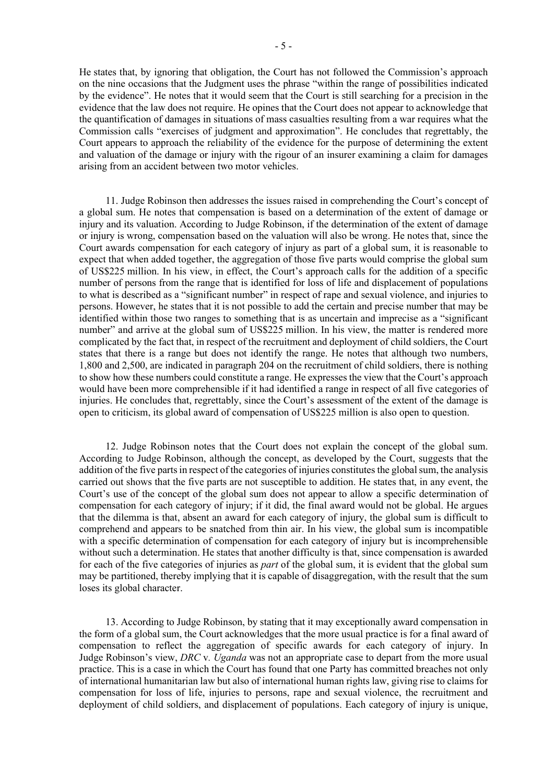He states that, by ignoring that obligation, the Court has not followed the Commission's approach on the nine occasions that the Judgment uses the phrase "within the range of possibilities indicated by the evidence". He notes that it would seem that the Court is still searching for a precision in the evidence that the law does not require. He opines that the Court does not appear to acknowledge that the quantification of damages in situations of mass casualties resulting from a war requires what the Commission calls "exercises of judgment and approximation". He concludes that regrettably, the Court appears to approach the reliability of the evidence for the purpose of determining the extent and valuation of the damage or injury with the rigour of an insurer examining a claim for damages arising from an accident between two motor vehicles.

11. Judge Robinson then addresses the issues raised in comprehending the Court's concept of a global sum. He notes that compensation is based on a determination of the extent of damage or injury and its valuation. According to Judge Robinson, if the determination of the extent of damage or injury is wrong, compensation based on the valuation will also be wrong. He notes that, since the Court awards compensation for each category of injury as part of a global sum, it is reasonable to expect that when added together, the aggregation of those five parts would comprise the global sum of US\$225 million. In his view, in effect, the Court's approach calls for the addition of a specific number of persons from the range that is identified for loss of life and displacement of populations to what is described as a "significant number" in respect of rape and sexual violence, and injuries to persons. However, he states that it is not possible to add the certain and precise number that may be identified within those two ranges to something that is as uncertain and imprecise as a "significant number" and arrive at the global sum of US\$225 million. In his view, the matter is rendered more complicated by the fact that, in respect of the recruitment and deployment of child soldiers, the Court states that there is a range but does not identify the range. He notes that although two numbers, 1,800 and 2,500, are indicated in paragraph 204 on the recruitment of child soldiers, there is nothing to show how these numbers could constitute a range. He expresses the view that the Court's approach would have been more comprehensible if it had identified a range in respect of all five categories of injuries. He concludes that, regrettably, since the Court's assessment of the extent of the damage is open to criticism, its global award of compensation of US\$225 million is also open to question.

12. Judge Robinson notes that the Court does not explain the concept of the global sum. According to Judge Robinson, although the concept, as developed by the Court, suggests that the addition of the five parts in respect of the categories of injuries constitutes the global sum, the analysis carried out shows that the five parts are not susceptible to addition. He states that, in any event, the Court's use of the concept of the global sum does not appear to allow a specific determination of compensation for each category of injury; if it did, the final award would not be global. He argues that the dilemma is that, absent an award for each category of injury, the global sum is difficult to comprehend and appears to be snatched from thin air. In his view, the global sum is incompatible with a specific determination of compensation for each category of injury but is incomprehensible without such a determination. He states that another difficulty is that, since compensation is awarded for each of the five categories of injuries as *part* of the global sum, it is evident that the global sum may be partitioned, thereby implying that it is capable of disaggregation, with the result that the sum loses its global character.

13. According to Judge Robinson, by stating that it may exceptionally award compensation in the form of a global sum, the Court acknowledges that the more usual practice is for a final award of compensation to reflect the aggregation of specific awards for each category of injury. In Judge Robinson's view, *DRC* v*. Uganda* was not an appropriate case to depart from the more usual practice. This is a case in which the Court has found that one Party has committed breaches not only of international humanitarian law but also of international human rights law, giving rise to claims for compensation for loss of life, injuries to persons, rape and sexual violence, the recruitment and deployment of child soldiers, and displacement of populations. Each category of injury is unique,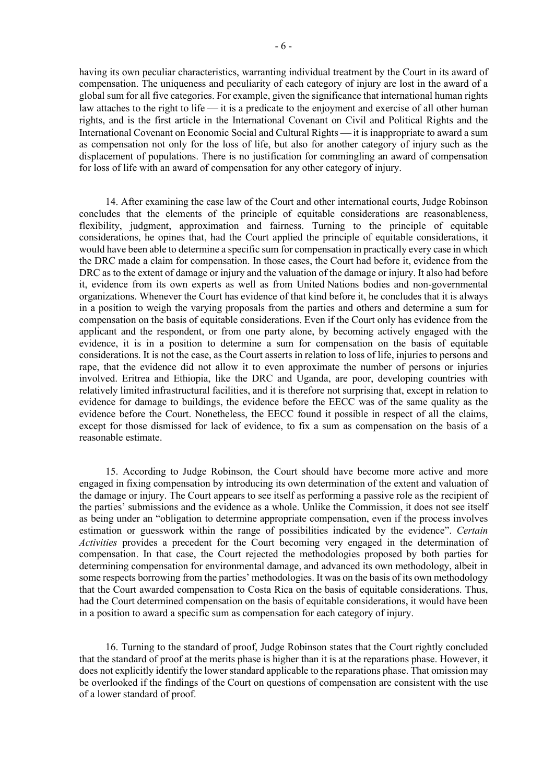having its own peculiar characteristics, warranting individual treatment by the Court in its award of compensation. The uniqueness and peculiarity of each category of injury are lost in the award of a global sum for all five categories. For example, given the significance that international human rights law attaches to the right to life  $\frac{1}{s}$  is a predicate to the enjoyment and exercise of all other human rights, and is the first article in the International Covenant on Civil and Political Rights and the International Covenant on Economic Social and Cultural Rights — it is inappropriate to award a sum as compensation not only for the loss of life, but also for another category of injury such as the displacement of populations. There is no justification for commingling an award of compensation for loss of life with an award of compensation for any other category of injury.

14. After examining the case law of the Court and other international courts, Judge Robinson concludes that the elements of the principle of equitable considerations are reasonableness, flexibility, judgment, approximation and fairness. Turning to the principle of equitable considerations, he opines that, had the Court applied the principle of equitable considerations, it would have been able to determine a specific sum for compensation in practically every case in which the DRC made a claim for compensation. In those cases, the Court had before it, evidence from the DRC as to the extent of damage or injury and the valuation of the damage or injury. It also had before it, evidence from its own experts as well as from United Nations bodies and non-governmental organizations. Whenever the Court has evidence of that kind before it, he concludes that it is always in a position to weigh the varying proposals from the parties and others and determine a sum for compensation on the basis of equitable considerations. Even if the Court only has evidence from the applicant and the respondent, or from one party alone, by becoming actively engaged with the evidence, it is in a position to determine a sum for compensation on the basis of equitable considerations. It is not the case, as the Court asserts in relation to loss of life, injuries to persons and rape, that the evidence did not allow it to even approximate the number of persons or injuries involved. Eritrea and Ethiopia, like the DRC and Uganda, are poor, developing countries with relatively limited infrastructural facilities, and it is therefore not surprising that, except in relation to evidence for damage to buildings, the evidence before the EECC was of the same quality as the evidence before the Court. Nonetheless, the EECC found it possible in respect of all the claims, except for those dismissed for lack of evidence, to fix a sum as compensation on the basis of a reasonable estimate.

15. According to Judge Robinson, the Court should have become more active and more engaged in fixing compensation by introducing its own determination of the extent and valuation of the damage or injury. The Court appears to see itself as performing a passive role as the recipient of the parties' submissions and the evidence as a whole. Unlike the Commission, it does not see itself as being under an "obligation to determine appropriate compensation, even if the process involves estimation or guesswork within the range of possibilities indicated by the evidence". *Certain Activities* provides a precedent for the Court becoming very engaged in the determination of compensation. In that case, the Court rejected the methodologies proposed by both parties for determining compensation for environmental damage, and advanced its own methodology, albeit in some respects borrowing from the parties' methodologies. It was on the basis of its own methodology that the Court awarded compensation to Costa Rica on the basis of equitable considerations. Thus, had the Court determined compensation on the basis of equitable considerations, it would have been in a position to award a specific sum as compensation for each category of injury.

16. Turning to the standard of proof, Judge Robinson states that the Court rightly concluded that the standard of proof at the merits phase is higher than it is at the reparations phase. However, it does not explicitly identify the lower standard applicable to the reparations phase. That omission may be overlooked if the findings of the Court on questions of compensation are consistent with the use of a lower standard of proof.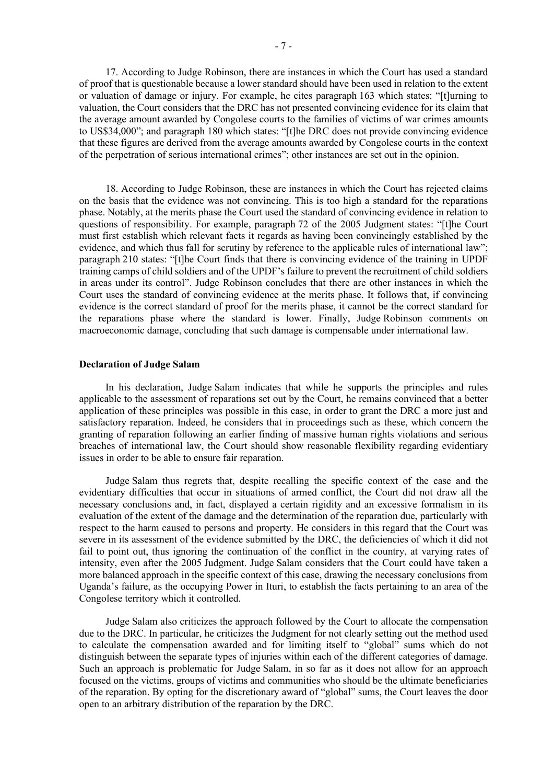17. According to Judge Robinson, there are instances in which the Court has used a standard of proof that is questionable because a lower standard should have been used in relation to the extent or valuation of damage or injury. For example, he cites paragraph 163 which states: "[t]urning to valuation, the Court considers that the DRC has not presented convincing evidence for its claim that the average amount awarded by Congolese courts to the families of victims of war crimes amounts to US\$34,000"; and paragraph 180 which states: "[t]he DRC does not provide convincing evidence that these figures are derived from the average amounts awarded by Congolese courts in the context of the perpetration of serious international crimes"; other instances are set out in the opinion.

18. According to Judge Robinson, these are instances in which the Court has rejected claims on the basis that the evidence was not convincing. This is too high a standard for the reparations phase. Notably, at the merits phase the Court used the standard of convincing evidence in relation to questions of responsibility. For example, paragraph 72 of the 2005 Judgment states: "[t]he Court must first establish which relevant facts it regards as having been convincingly established by the evidence, and which thus fall for scrutiny by reference to the applicable rules of international law"; paragraph 210 states: "[t]he Court finds that there is convincing evidence of the training in UPDF training camps of child soldiers and of the UPDF's failure to prevent the recruitment of child soldiers in areas under its control". Judge Robinson concludes that there are other instances in which the Court uses the standard of convincing evidence at the merits phase. It follows that, if convincing evidence is the correct standard of proof for the merits phase, it cannot be the correct standard for the reparations phase where the standard is lower. Finally, Judge Robinson comments on macroeconomic damage, concluding that such damage is compensable under international law.

### **Declaration of Judge Salam**

In his declaration, Judge Salam indicates that while he supports the principles and rules applicable to the assessment of reparations set out by the Court, he remains convinced that a better application of these principles was possible in this case, in order to grant the DRC a more just and satisfactory reparation. Indeed, he considers that in proceedings such as these, which concern the granting of reparation following an earlier finding of massive human rights violations and serious breaches of international law, the Court should show reasonable flexibility regarding evidentiary issues in order to be able to ensure fair reparation.

Judge Salam thus regrets that, despite recalling the specific context of the case and the evidentiary difficulties that occur in situations of armed conflict, the Court did not draw all the necessary conclusions and, in fact, displayed a certain rigidity and an excessive formalism in its evaluation of the extent of the damage and the determination of the reparation due, particularly with respect to the harm caused to persons and property. He considers in this regard that the Court was severe in its assessment of the evidence submitted by the DRC, the deficiencies of which it did not fail to point out, thus ignoring the continuation of the conflict in the country, at varying rates of intensity, even after the 2005 Judgment. Judge Salam considers that the Court could have taken a more balanced approach in the specific context of this case, drawing the necessary conclusions from Uganda's failure, as the occupying Power in Ituri, to establish the facts pertaining to an area of the Congolese territory which it controlled.

Judge Salam also criticizes the approach followed by the Court to allocate the compensation due to the DRC. In particular, he criticizes the Judgment for not clearly setting out the method used to calculate the compensation awarded and for limiting itself to "global" sums which do not distinguish between the separate types of injuries within each of the different categories of damage. Such an approach is problematic for Judge Salam, in so far as it does not allow for an approach focused on the victims, groups of victims and communities who should be the ultimate beneficiaries of the reparation. By opting for the discretionary award of "global" sums, the Court leaves the door open to an arbitrary distribution of the reparation by the DRC.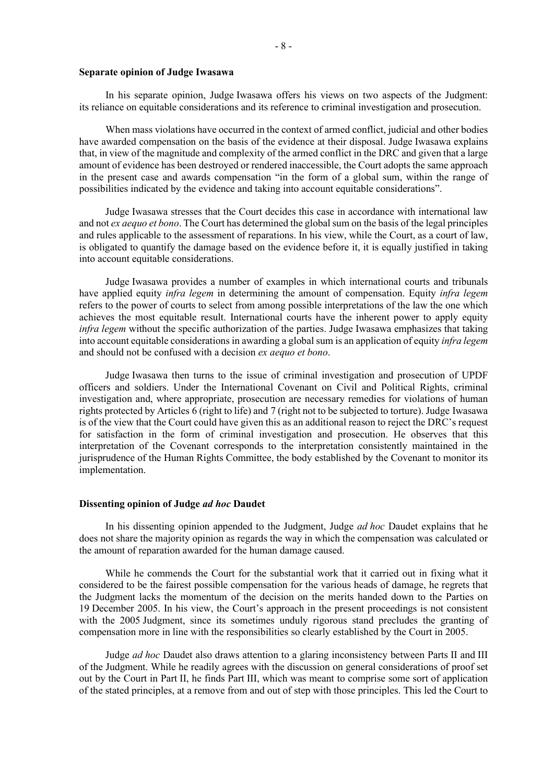### **Separate opinion of Judge Iwasawa**

In his separate opinion, Judge Iwasawa offers his views on two aspects of the Judgment: its reliance on equitable considerations and its reference to criminal investigation and prosecution.

When mass violations have occurred in the context of armed conflict, judicial and other bodies have awarded compensation on the basis of the evidence at their disposal. Judge Iwasawa explains that, in view of the magnitude and complexity of the armed conflict in the DRC and given that a large amount of evidence has been destroyed or rendered inaccessible, the Court adopts the same approach in the present case and awards compensation "in the form of a global sum, within the range of possibilities indicated by the evidence and taking into account equitable considerations".

Judge Iwasawa stresses that the Court decides this case in accordance with international law and not *ex aequo et bono*. The Court has determined the global sum on the basis of the legal principles and rules applicable to the assessment of reparations. In his view, while the Court, as a court of law, is obligated to quantify the damage based on the evidence before it, it is equally justified in taking into account equitable considerations.

Judge Iwasawa provides a number of examples in which international courts and tribunals have applied equity *infra legem* in determining the amount of compensation. Equity *infra legem* refers to the power of courts to select from among possible interpretations of the law the one which achieves the most equitable result. International courts have the inherent power to apply equity *infra legem* without the specific authorization of the parties. Judge Iwasawa emphasizes that taking into account equitable considerations in awarding a global sum is an application of equity *infra legem* and should not be confused with a decision *ex aequo et bono*.

Judge Iwasawa then turns to the issue of criminal investigation and prosecution of UPDF officers and soldiers. Under the International Covenant on Civil and Political Rights, criminal investigation and, where appropriate, prosecution are necessary remedies for violations of human rights protected by Articles 6 (right to life) and 7 (right not to be subjected to torture). Judge Iwasawa is of the view that the Court could have given this as an additional reason to reject the DRC's request for satisfaction in the form of criminal investigation and prosecution. He observes that this interpretation of the Covenant corresponds to the interpretation consistently maintained in the jurisprudence of the Human Rights Committee, the body established by the Covenant to monitor its implementation.

# **Dissenting opinion of Judge** *ad hoc* **Daudet**

In his dissenting opinion appended to the Judgment, Judge *ad hoc* Daudet explains that he does not share the majority opinion as regards the way in which the compensation was calculated or the amount of reparation awarded for the human damage caused.

While he commends the Court for the substantial work that it carried out in fixing what it considered to be the fairest possible compensation for the various heads of damage, he regrets that the Judgment lacks the momentum of the decision on the merits handed down to the Parties on 19 December 2005. In his view, the Court's approach in the present proceedings is not consistent with the 2005 Judgment, since its sometimes unduly rigorous stand precludes the granting of compensation more in line with the responsibilities so clearly established by the Court in 2005.

Judge *ad hoc* Daudet also draws attention to a glaring inconsistency between Parts II and III of the Judgment. While he readily agrees with the discussion on general considerations of proof set out by the Court in Part II, he finds Part III, which was meant to comprise some sort of application of the stated principles, at a remove from and out of step with those principles. This led the Court to